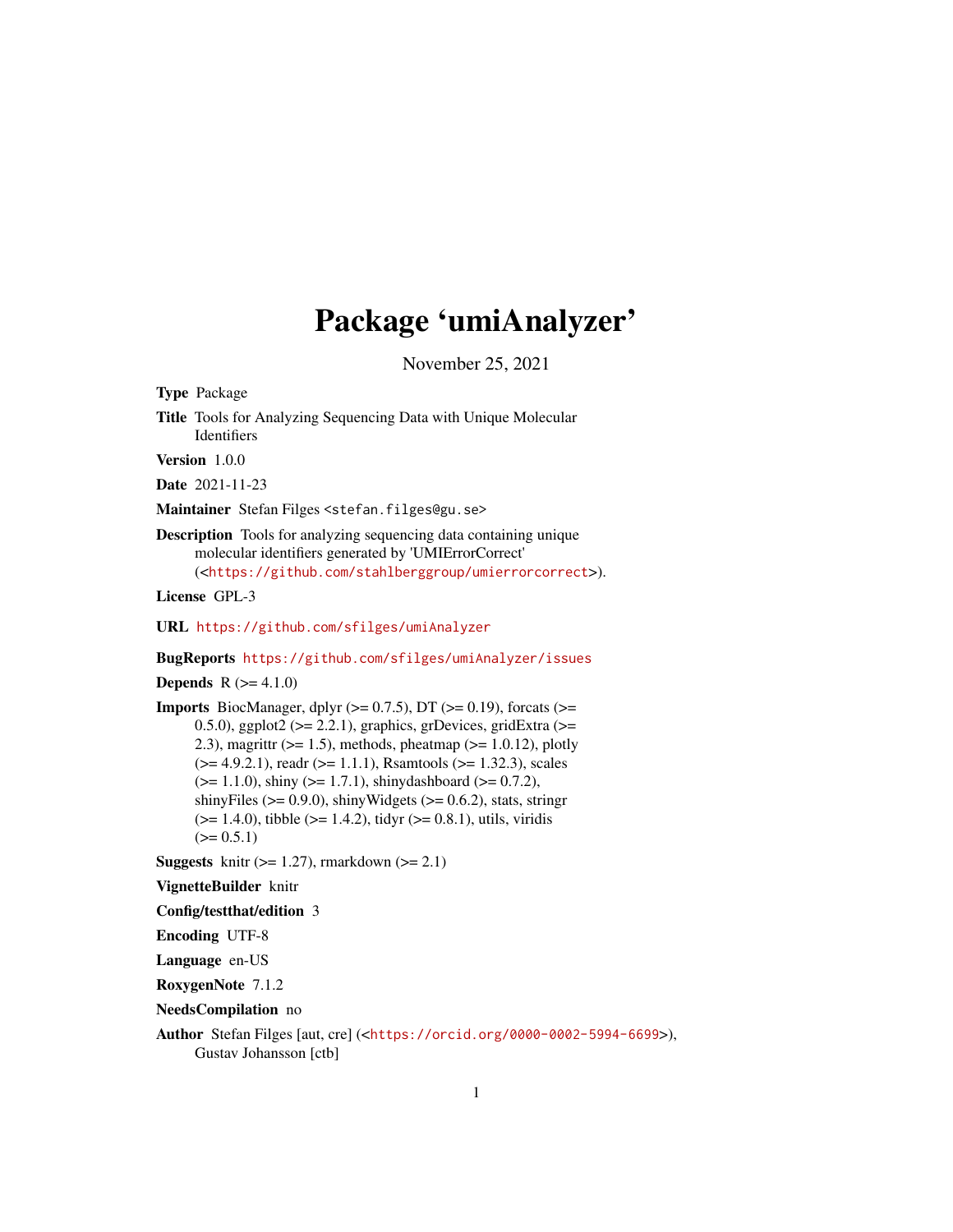# Package 'umiAnalyzer'

November 25, 2021

Type Package

Title Tools for Analyzing Sequencing Data with Unique Molecular **Identifiers** 

Version 1.0.0

Date 2021-11-23

Maintainer Stefan Filges <stefan.filges@gu.se>

Description Tools for analyzing sequencing data containing unique molecular identifiers generated by 'UMIErrorCorrect' (<<https://github.com/stahlberggroup/umierrorcorrect>>).

License GPL-3

URL <https://github.com/sfilges/umiAnalyzer>

BugReports <https://github.com/sfilges/umiAnalyzer/issues>

**Depends**  $R (= 4.1.0)$ 

**Imports** BiocManager, dplyr  $(>= 0.7.5)$ , DT  $(>= 0.19)$ , forcats  $(>= 0.19)$ 0.5.0), ggplot2 ( $>= 2.2.1$ ), graphics, grDevices, gridExtra ( $>=$ 2.3), magrittr ( $>= 1.5$ ), methods, pheatmap ( $>= 1.0.12$ ), plotly  $(>= 4.9.2.1)$ , readr  $(>= 1.1.1)$ , Rsamtools  $(>= 1.32.3)$ , scales  $(>= 1.1.0)$ , shiny  $(>= 1.7.1)$ , shinydashboard  $(>= 0.7.2)$ , shinyFiles ( $> = 0.9.0$ ), shinyWidgets ( $> = 0.6.2$ ), stats, stringr  $(>= 1.4.0)$ , tibble  $(>= 1.4.2)$ , tidyr  $(>= 0.8.1)$ , utils, viridis  $(>= 0.5.1)$ 

**Suggests** knitr  $(>= 1.27)$ , rmarkdown  $(>= 2.1)$ 

VignetteBuilder knitr

Config/testthat/edition 3

Encoding UTF-8

Language en-US

RoxygenNote 7.1.2

NeedsCompilation no

Author Stefan Filges [aut, cre] (<<https://orcid.org/0000-0002-5994-6699>>), Gustav Johansson [ctb]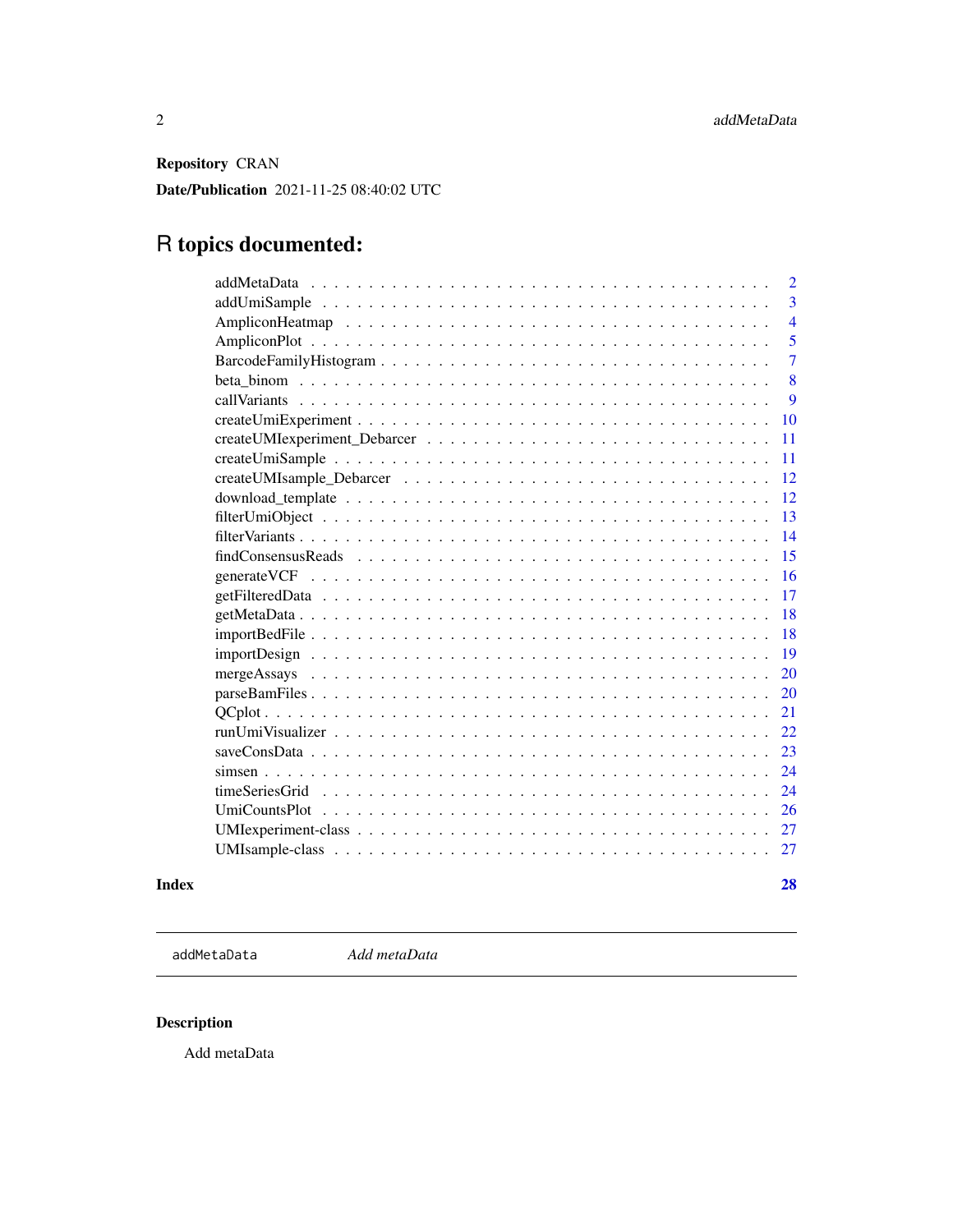<span id="page-1-0"></span>Repository CRAN

Date/Publication 2021-11-25 08:40:02 UTC

# R topics documented:

| $\overline{2}$ |
|----------------|
| $\overline{3}$ |
| $\overline{4}$ |
| 5              |
| $\overline{7}$ |
| 8              |
| 9              |
| 10             |
| 11             |
| 11             |
| 12             |
| 12             |
| 13             |
| 14             |
| 15             |
| 16             |
| 17             |
| 18             |
| 18             |
| 19             |
| 20             |
| 20             |
| 21             |
| 22             |
| 23             |
| 24             |
| 24             |
| 26             |
| 27             |
| 27             |
|                |

#### **Index** [28](#page-27-0) and 2012, the contract of the contract of the contract of the contract of the contract of the contract of the contract of the contract of the contract of the contract of the contract of the contract of the contr

addMetaData *Add metaData*

# Description

Add metaData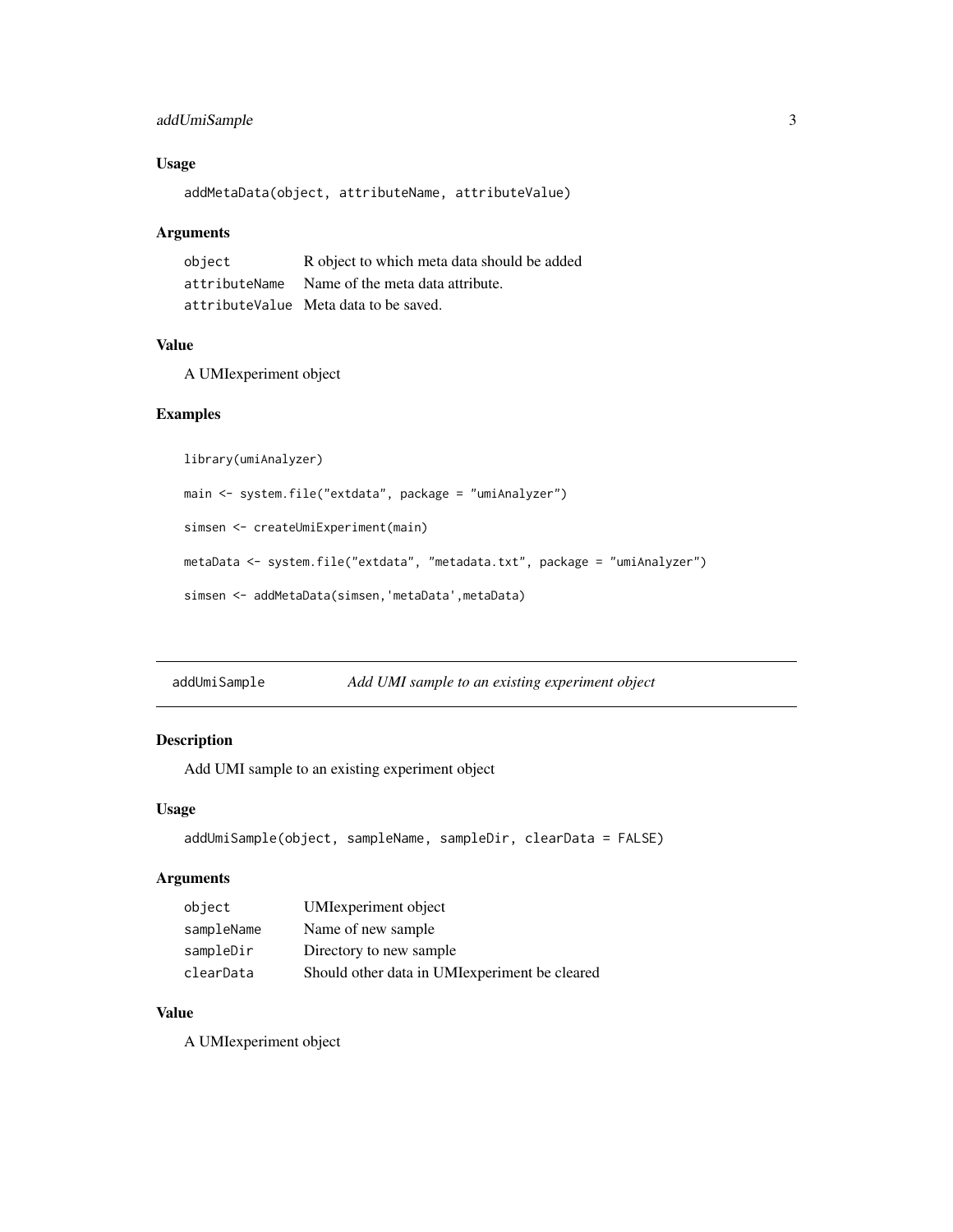# <span id="page-2-0"></span>addUmiSample 3

# Usage

addMetaData(object, attributeName, attributeValue)

# Arguments

| object | R object to which meta data should be added    |
|--------|------------------------------------------------|
|        | attributeName Name of the meta data attribute. |
|        | attributeValue Meta data to be saved.          |

# Value

A UMIexperiment object

#### Examples

library(umiAnalyzer)

```
main <- system.file("extdata", package = "umiAnalyzer")
```
simsen <- createUmiExperiment(main)

```
metaData <- system.file("extdata", "metadata.txt", package = "umiAnalyzer")
```

```
simsen <- addMetaData(simsen,'metaData',metaData)
```

| addUmiSample | Add UMI sample to an existing experiment object |  |
|--------------|-------------------------------------------------|--|
|              |                                                 |  |

# Description

Add UMI sample to an existing experiment object

#### Usage

```
addUmiSample(object, sampleName, sampleDir, clearData = FALSE)
```
## Arguments

| object     | UMI experiment object                          |
|------------|------------------------------------------------|
| sampleName | Name of new sample                             |
| sampleDir  | Directory to new sample.                       |
| clearData  | Should other data in UMI experiment be cleared |

# Value

A UMIexperiment object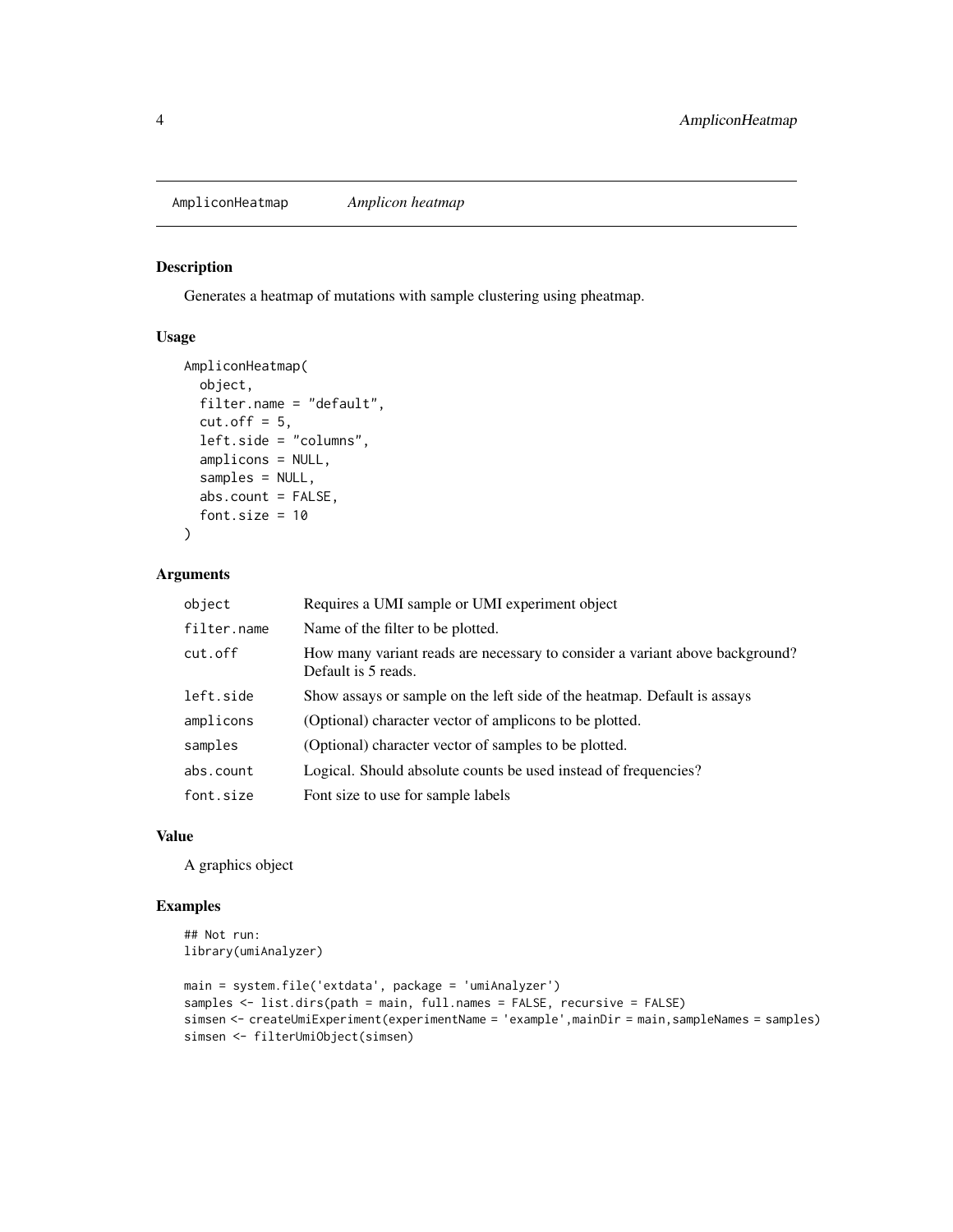<span id="page-3-0"></span>AmpliconHeatmap *Amplicon heatmap*

# Description

Generates a heatmap of mutations with sample clustering using pheatmap.

#### Usage

```
AmpliconHeatmap(
  object,
  filter.name = "default",
  cut.off = 5,
  left.side = "columns",
  amplicons = NULL,
  samples = NULL,
  abs.count = FALSE,
  font.size = 10
)
```
# Arguments

| object      | Requires a UMI sample or UMI experiment object                                                      |
|-------------|-----------------------------------------------------------------------------------------------------|
| filter.name | Name of the filter to be plotted.                                                                   |
| cut.off     | How many variant reads are necessary to consider a variant above background?<br>Default is 5 reads. |
| left.side   | Show assays or sample on the left side of the heatmap. Default is assays                            |
| amplicons   | (Optional) character vector of amplicons to be plotted.                                             |
| samples     | (Optional) character vector of samples to be plotted.                                               |
| abs.count   | Logical. Should absolute counts be used instead of frequencies?                                     |
| font.size   | Font size to use for sample labels                                                                  |

#### Value

A graphics object

```
## Not run:
library(umiAnalyzer)
```

```
main = system.file('extdata', package = 'umiAnalyzer')
samples <- list.dirs(path = main, full.names = FALSE, recursive = FALSE)
simsen <- createUmiExperiment(experimentName = 'example',mainDir = main,sampleNames = samples)
simsen <- filterUmiObject(simsen)
```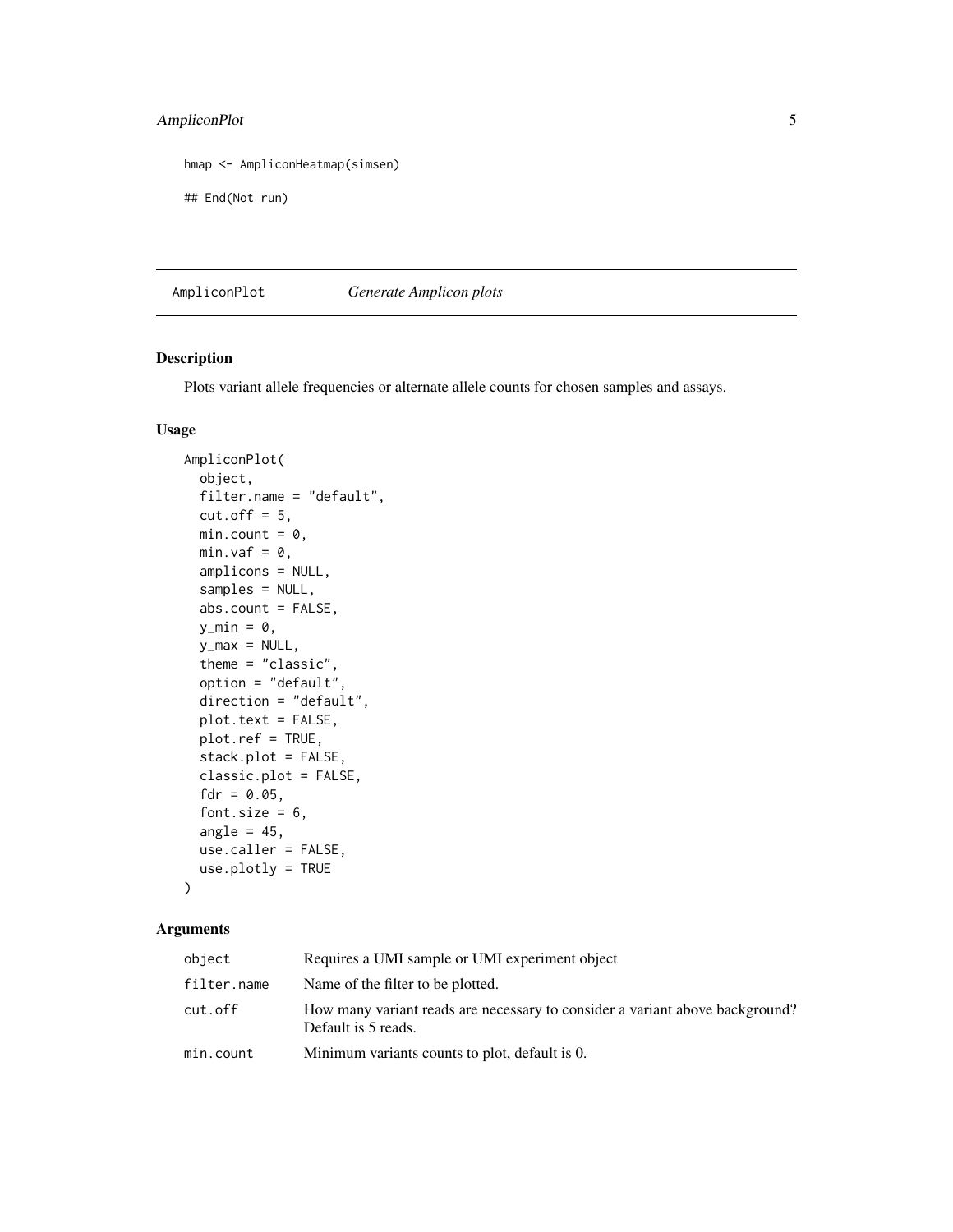# <span id="page-4-0"></span>AmpliconPlot 5

```
hmap <- AmpliconHeatmap(simsen)
```

```
## End(Not run)
```
AmpliconPlot *Generate Amplicon plots*

# Description

Plots variant allele frequencies or alternate allele counts for chosen samples and assays.

#### Usage

```
AmpliconPlot(
  object,
  filter.name = "default",
  cut.off = 5,min.count = 0,min.vaf = 0,
  amplicons = NULL,
  samples = NULL,
  abs.count = FALSE,y_{\text{min}} = \emptyset,
 y_max = NULL,theme = "classic",
  option = "default",
  direction = "default",
 plot.text = FALSE,
 plot.ref = TRUE,
  stack.plot = FALSE,
  classic.plot = FALSE,
  fdr = 0.05,
  font.size = 6,
  angle = 45,
  use.caller = FALSE,
  use.plotly = TRUE
)
```
# Arguments

| object      | Requires a UMI sample or UMI experiment object                                                      |
|-------------|-----------------------------------------------------------------------------------------------------|
| filter.name | Name of the filter to be plotted.                                                                   |
| cut.off     | How many variant reads are necessary to consider a variant above background?<br>Default is 5 reads. |
| min.count   | Minimum variants counts to plot, default is 0.                                                      |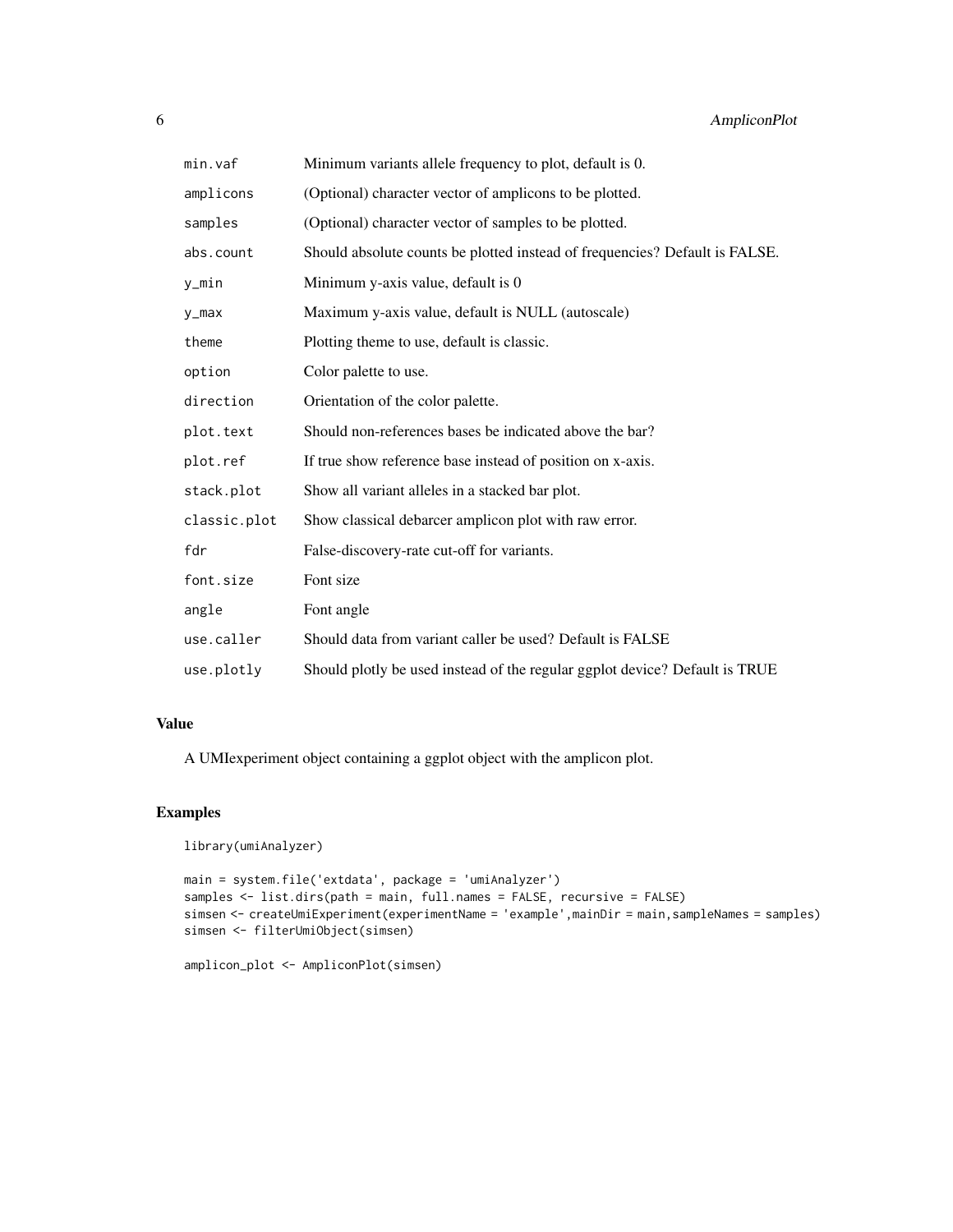| min.vaf      | Minimum variants allele frequency to plot, default is 0.                    |
|--------------|-----------------------------------------------------------------------------|
| amplicons    | (Optional) character vector of amplicons to be plotted.                     |
| samples      | (Optional) character vector of samples to be plotted.                       |
| abs.count    | Should absolute counts be plotted instead of frequencies? Default is FALSE. |
| y_min        | Minimum y-axis value, default is 0                                          |
| y_max        | Maximum y-axis value, default is NULL (autoscale)                           |
| theme        | Plotting theme to use, default is classic.                                  |
| option       | Color palette to use.                                                       |
| direction    | Orientation of the color palette.                                           |
| plot.text    | Should non-references bases be indicated above the bar?                     |
| plot.ref     | If true show reference base instead of position on x-axis.                  |
| stack.plot   | Show all variant alleles in a stacked bar plot.                             |
| classic.plot | Show classical debarcer amplicon plot with raw error.                       |
| fdr          | False-discovery-rate cut-off for variants.                                  |
| font.size    | Font size                                                                   |
| angle        | Font angle                                                                  |
| use.caller   | Should data from variant caller be used? Default is FALSE                   |
| use.plotly   | Should plotly be used instead of the regular ggplot device? Default is TRUE |

# Value

A UMIexperiment object containing a ggplot object with the amplicon plot.

```
library(umiAnalyzer)
```

```
main = system.file('extdata', package = 'umiAnalyzer')
samples <- list.dirs(path = main, full.names = FALSE, recursive = FALSE)
simsen <- createUmiExperiment(experimentName = 'example',mainDir = main,sampleNames = samples)
simsen <- filterUmiObject(simsen)
```

```
amplicon_plot <- AmpliconPlot(simsen)
```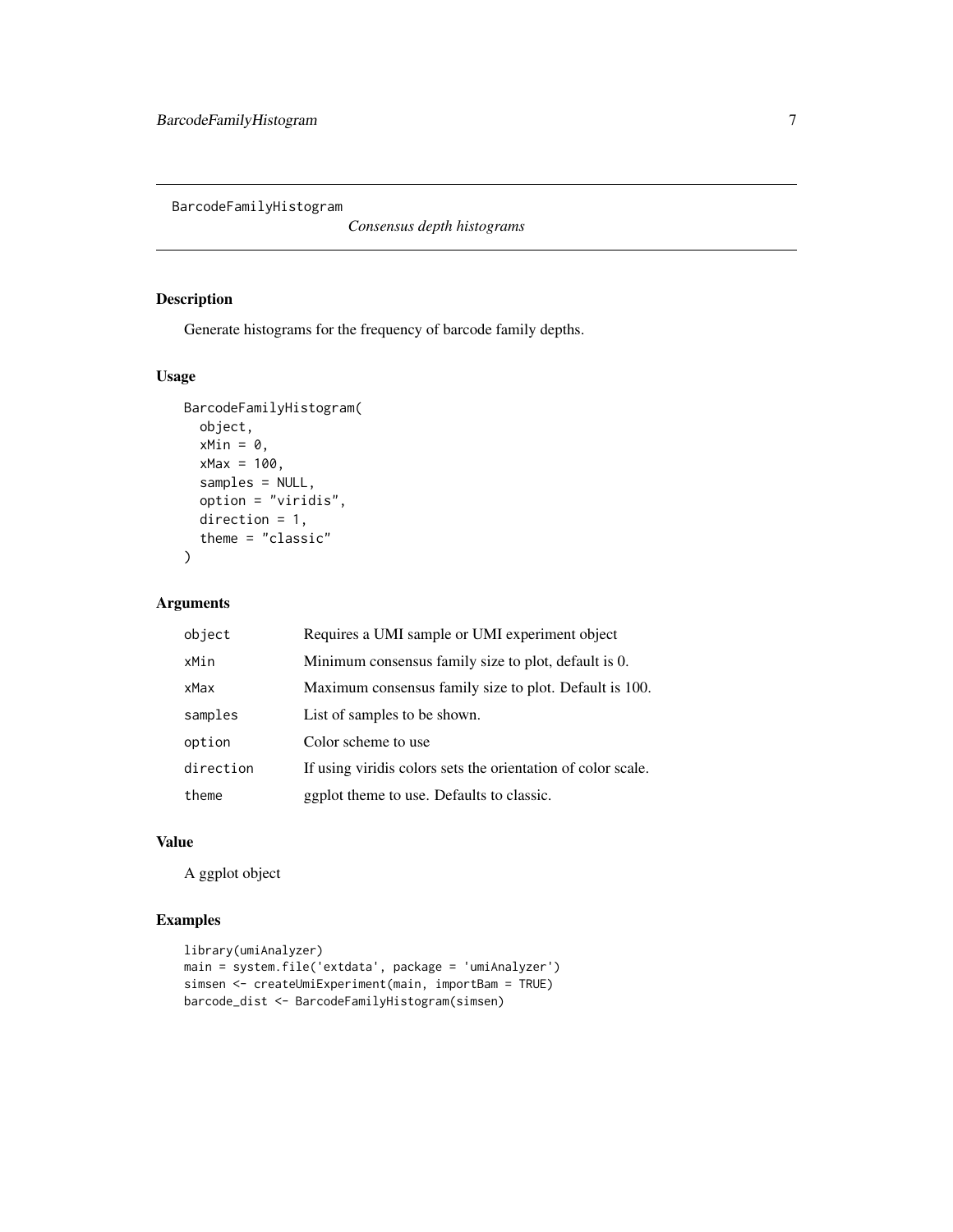<span id="page-6-0"></span>BarcodeFamilyHistogram

*Consensus depth histograms*

# Description

Generate histograms for the frequency of barcode family depths.

# Usage

```
BarcodeFamilyHistogram(
  object,
  xMin = 0,
  xMax = 100,
  samples = NULL,
  option = "viridis",
  direction = 1,
  theme = "classic"
\overline{\phantom{a}}
```
# Arguments

| object    | Requires a UMI sample or UMI experiment object               |
|-----------|--------------------------------------------------------------|
| xMin      | Minimum consensus family size to plot, default is 0.         |
| xMax      | Maximum consensus family size to plot. Default is 100.       |
| samples   | List of samples to be shown.                                 |
| option    | Color scheme to use                                          |
| direction | If using viridis colors sets the orientation of color scale. |
| theme     | ggplot theme to use. Defaults to classic.                    |

# Value

A ggplot object

```
library(umiAnalyzer)
main = system.file('extdata', package = 'umiAnalyzer')
simsen <- createUmiExperiment(main, importBam = TRUE)
barcode_dist <- BarcodeFamilyHistogram(simsen)
```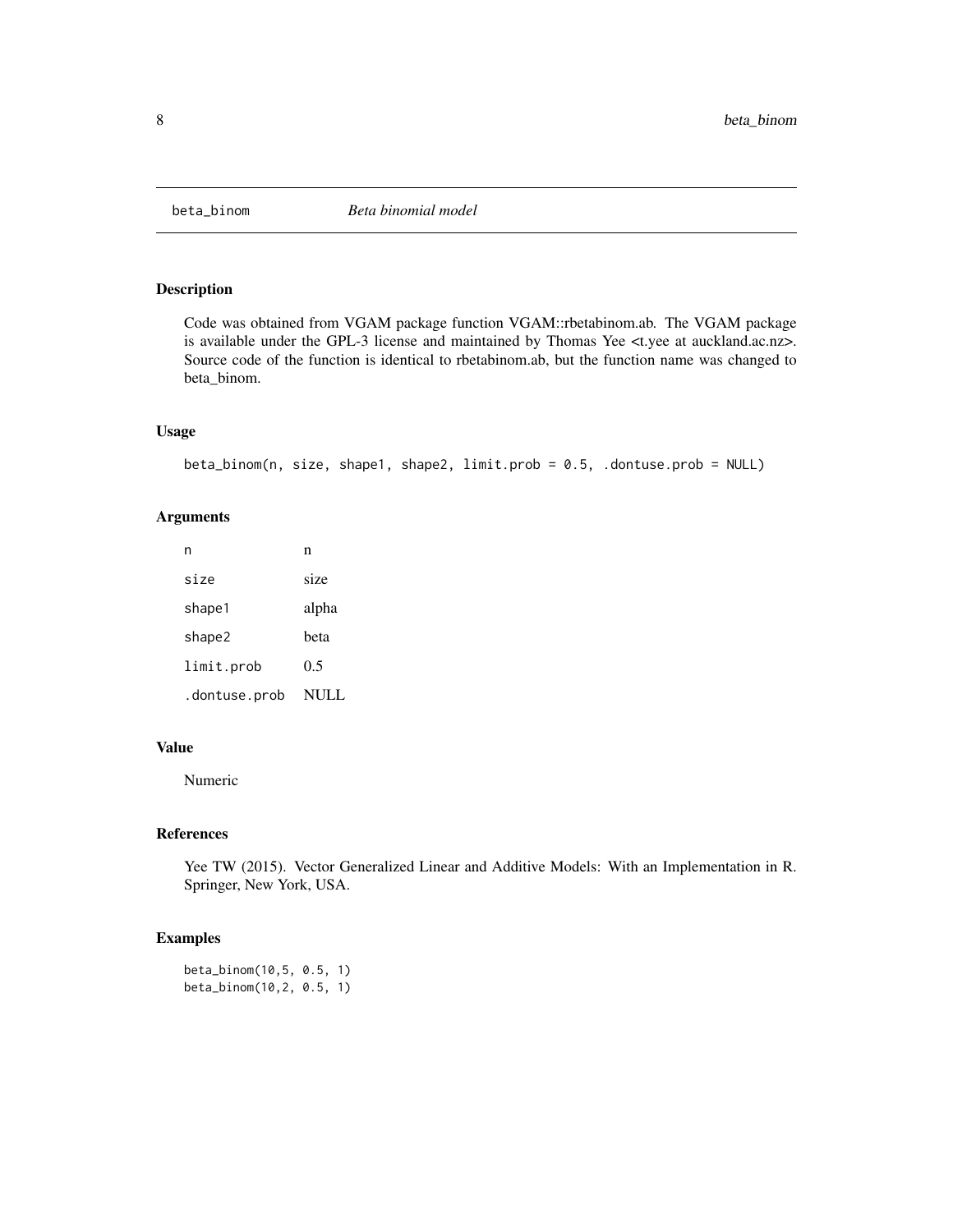<span id="page-7-0"></span>

# Description

Code was obtained from VGAM package function VGAM::rbetabinom.ab. The VGAM package is available under the GPL-3 license and maintained by Thomas Yee <t.yee at auckland.ac.nz>. Source code of the function is identical to rbetabinom.ab, but the function name was changed to beta\_binom.

#### Usage

```
beta_binom(n, size, shape1, shape2, limit.prob = 0.5, .dontuse.prob = NULL)
```
#### Arguments

| n             | n     |
|---------------|-------|
| size          | size  |
| shape1        | alpha |
| shape2        | beta  |
| limit.prob    | 0.5   |
| .dontuse.prob | NULL  |

#### Value

Numeric

#### References

Yee TW (2015). Vector Generalized Linear and Additive Models: With an Implementation in R. Springer, New York, USA.

# Examples

beta\_binom(10,5, 0.5, 1) beta\_binom(10,2, 0.5, 1)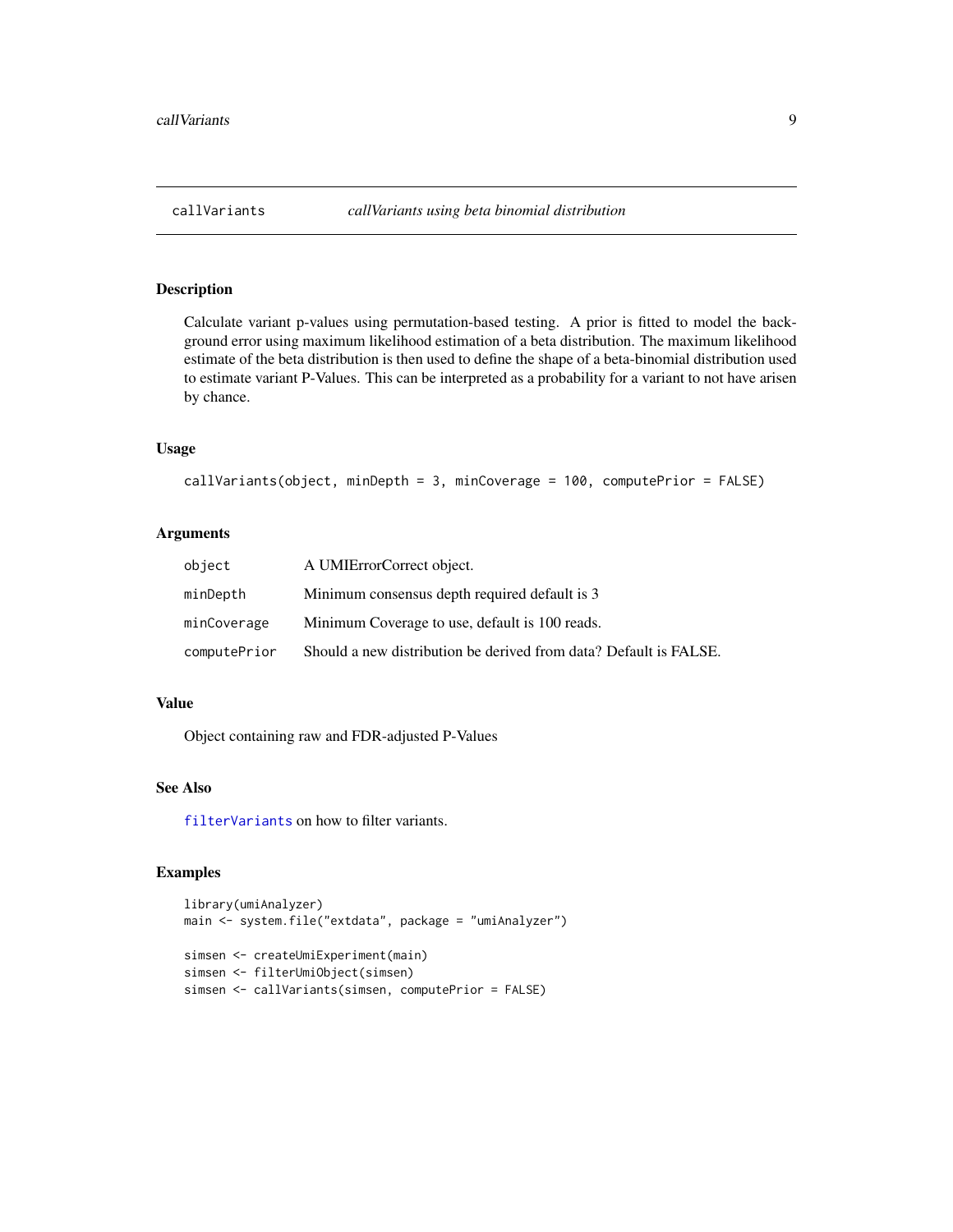<span id="page-8-1"></span><span id="page-8-0"></span>

# Description

Calculate variant p-values using permutation-based testing. A prior is fitted to model the background error using maximum likelihood estimation of a beta distribution. The maximum likelihood estimate of the beta distribution is then used to define the shape of a beta-binomial distribution used to estimate variant P-Values. This can be interpreted as a probability for a variant to not have arisen by chance.

#### Usage

```
callVariants(object, minDepth = 3, minCoverage = 100, computePrior = FALSE)
```
#### Arguments

| object       | A UMIErrorCorrect object.                                         |
|--------------|-------------------------------------------------------------------|
| minDepth     | Minimum consensus depth required default is 3                     |
| minCoverage  | Minimum Coverage to use, default is 100 reads.                    |
| computePrior | Should a new distribution be derived from data? Default is FALSE. |

#### Value

Object containing raw and FDR-adjusted P-Values

#### See Also

[filterVariants](#page-13-1) on how to filter variants.

```
library(umiAnalyzer)
main <- system.file("extdata", package = "umiAnalyzer")
simsen <- createUmiExperiment(main)
simsen <- filterUmiObject(simsen)
simsen <- callVariants(simsen, computePrior = FALSE)
```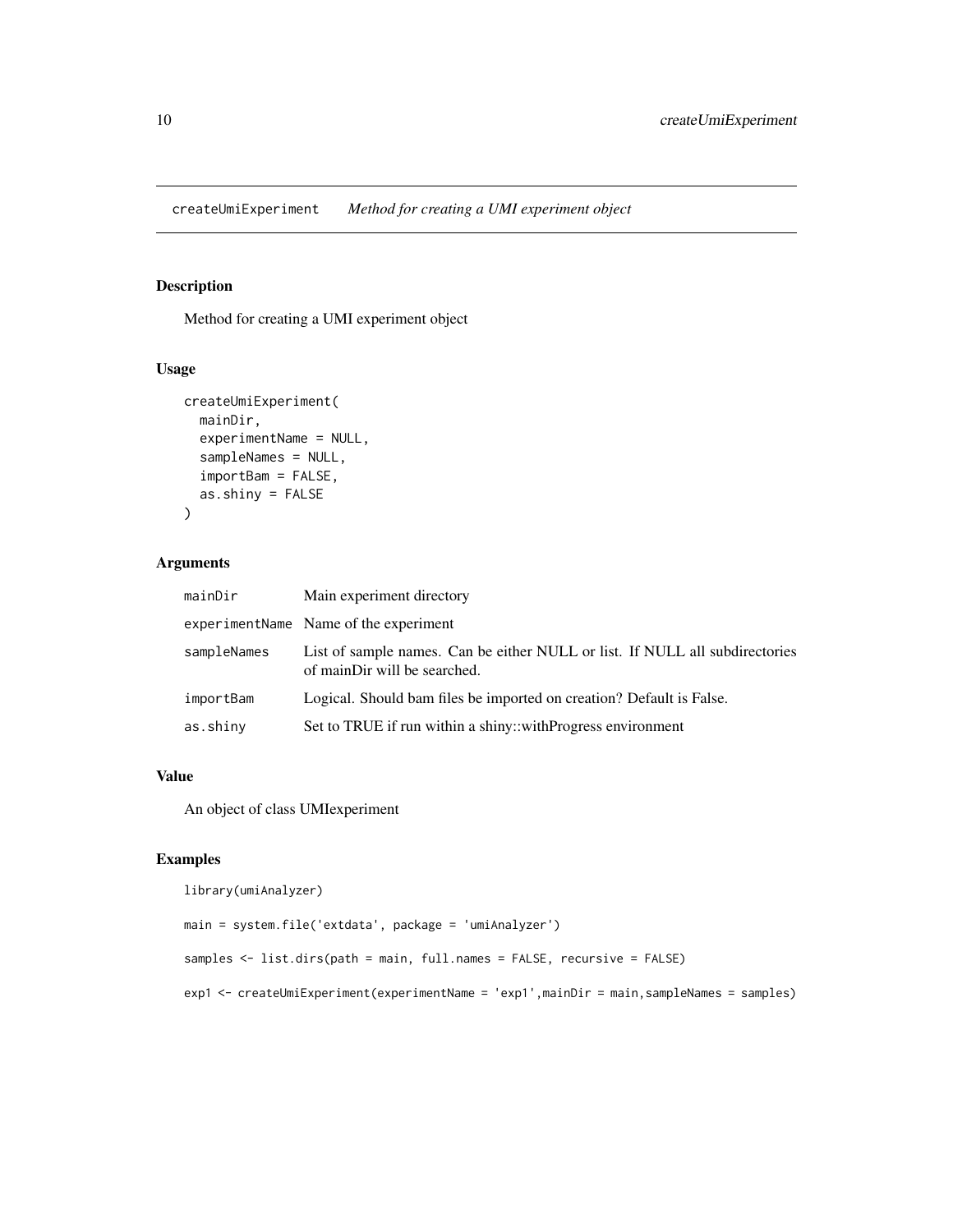<span id="page-9-0"></span>createUmiExperiment *Method for creating a UMI experiment object*

## Description

Method for creating a UMI experiment object

# Usage

```
createUmiExperiment(
  mainDir,
  experimentName = NULL,
  sampleNames = NULL,
  importBam = FALSE,
  as.shiny = FALSE
\mathcal{L}
```
# Arguments

| mainDir     | Main experiment directory                                                                                    |
|-------------|--------------------------------------------------------------------------------------------------------------|
|             | experimentName Name of the experiment                                                                        |
| sampleNames | List of sample names. Can be either NULL or list. If NULL all subdirectories<br>of mainDir will be searched. |
| importBam   | Logical. Should bam files be imported on creation? Default is False.                                         |
| as.shiny    | Set to TRUE if run within a shiny::withProgress environment                                                  |

#### Value

An object of class UMIexperiment

```
library(umiAnalyzer)
```

```
main = system.file('extdata', package = 'umiAnalyzer')
samples <- list.dirs(path = main, full.names = FALSE, recursive = FALSE)
exp1 <- createUmiExperiment(experimentName = 'exp1',mainDir = main,sampleNames = samples)
```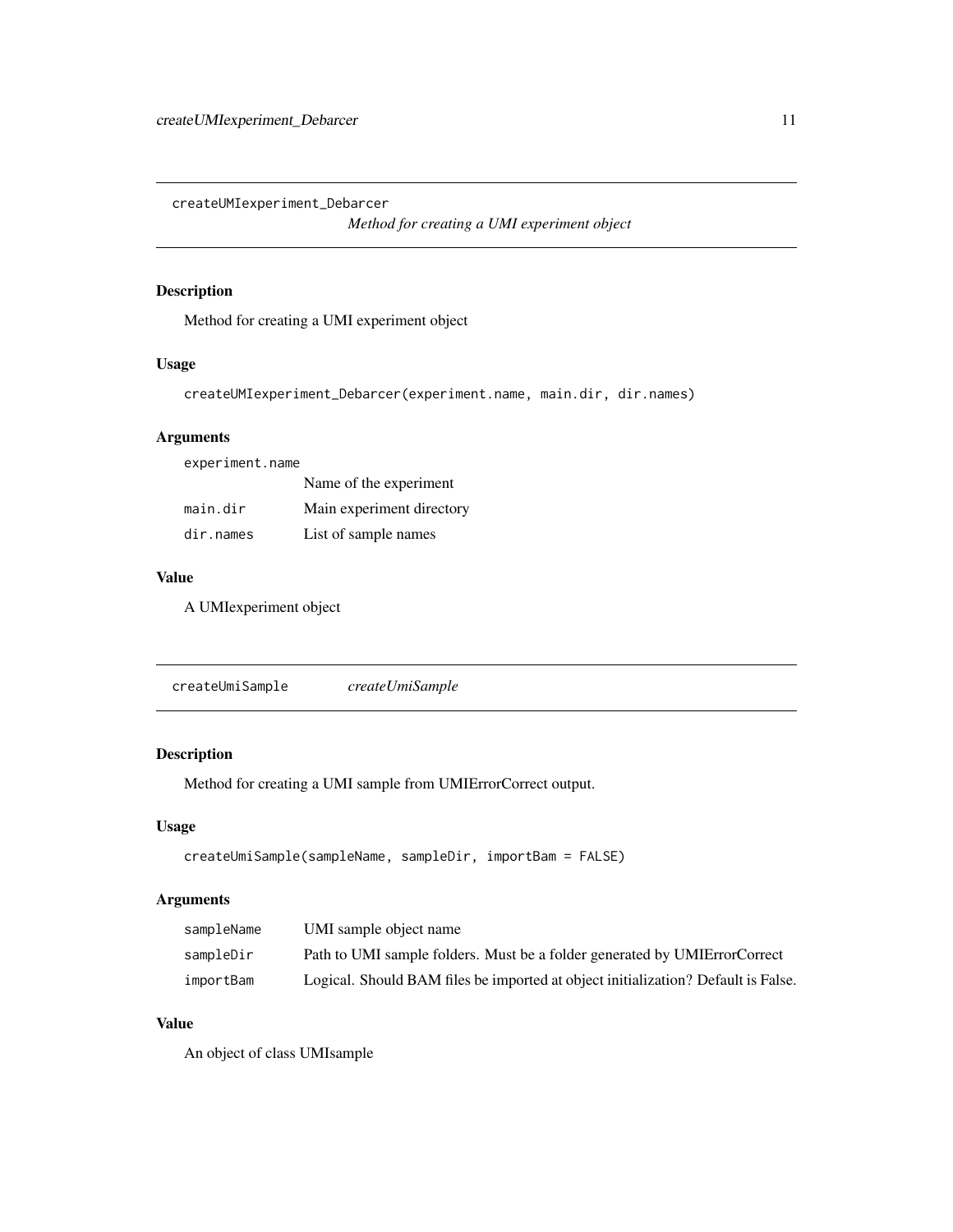<span id="page-10-0"></span>createUMIexperiment\_Debarcer

*Method for creating a UMI experiment object*

# Description

Method for creating a UMI experiment object

# Usage

createUMIexperiment\_Debarcer(experiment.name, main.dir, dir.names)

# Arguments

experiment.name

|           | Name of the experiment    |
|-----------|---------------------------|
| main.dir  | Main experiment directory |
| dir.names | List of sample names      |

# Value

A UMIexperiment object

createUmiSample *createUmiSample*

# Description

Method for creating a UMI sample from UMIErrorCorrect output.

# Usage

```
createUmiSample(sampleName, sampleDir, importBam = FALSE)
```
# Arguments

| sampleName | UMI sample object name                                                            |
|------------|-----------------------------------------------------------------------------------|
| sampleDir  | Path to UMI sample folders. Must be a folder generated by UMIE rror Correct       |
| importBam  | Logical. Should BAM files be imported at object initialization? Default is False. |

# Value

An object of class UMIsample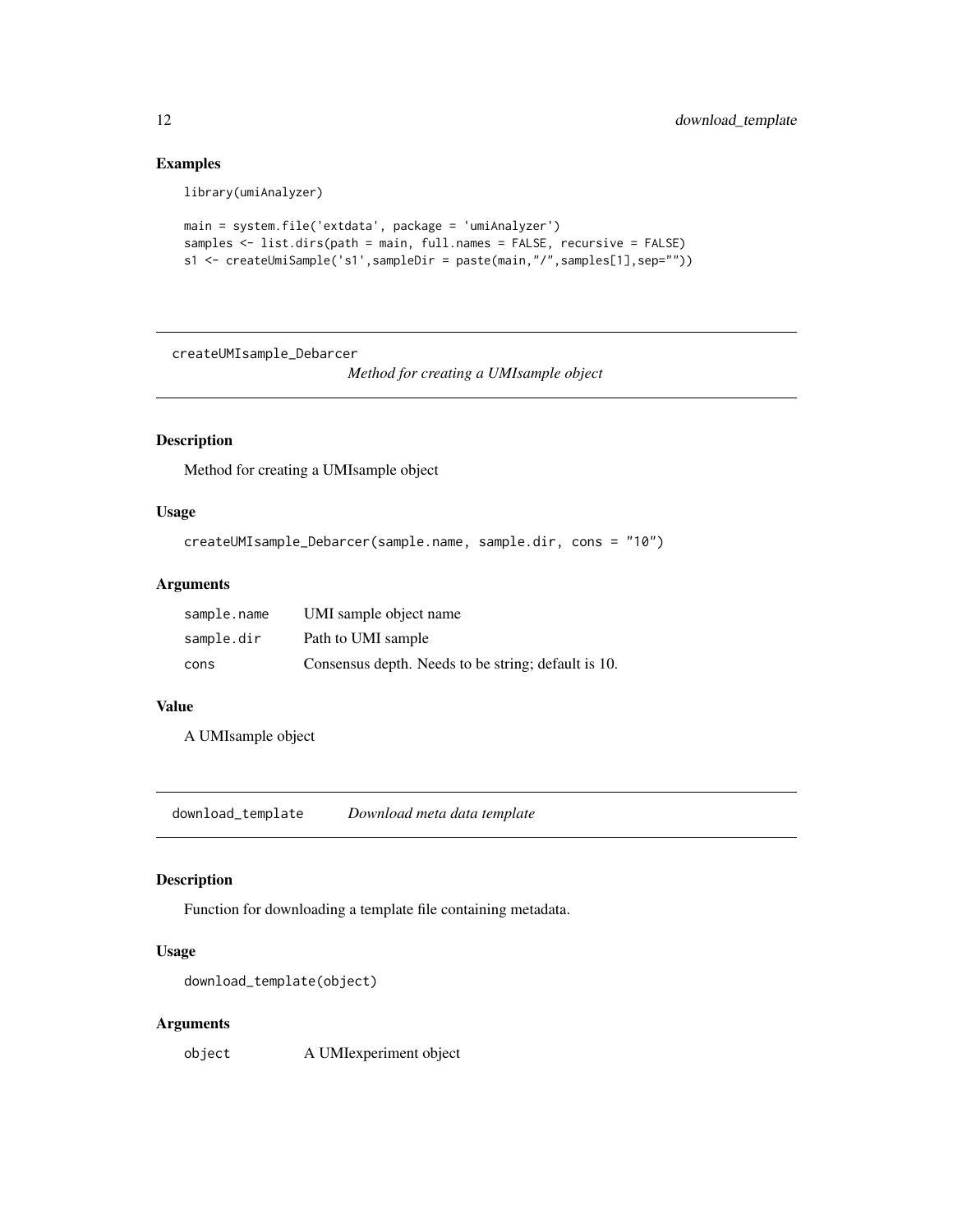# Examples

library(umiAnalyzer)

```
main = system.file('extdata', package = 'umiAnalyzer')
samples <- list.dirs(path = main, full.names = FALSE, recursive = FALSE)
s1 <- createUmiSample('s1',sampleDir = paste(main,"/",samples[1],sep=""))
```
createUMIsample\_Debarcer

*Method for creating a UMIsample object*

# Description

Method for creating a UMIsample object

# Usage

```
createUMIsample_Debarcer(sample.name, sample.dir, cons = "10")
```
#### Arguments

| sample.name | UMI sample object name                              |
|-------------|-----------------------------------------------------|
| sample.dir  | Path to UMI sample                                  |
| cons        | Consensus depth. Needs to be string; default is 10. |

#### Value

A UMIsample object

download\_template *Download meta data template*

#### Description

Function for downloading a template file containing metadata.

#### Usage

```
download_template(object)
```
# Arguments

object A UMIexperiment object

<span id="page-11-0"></span>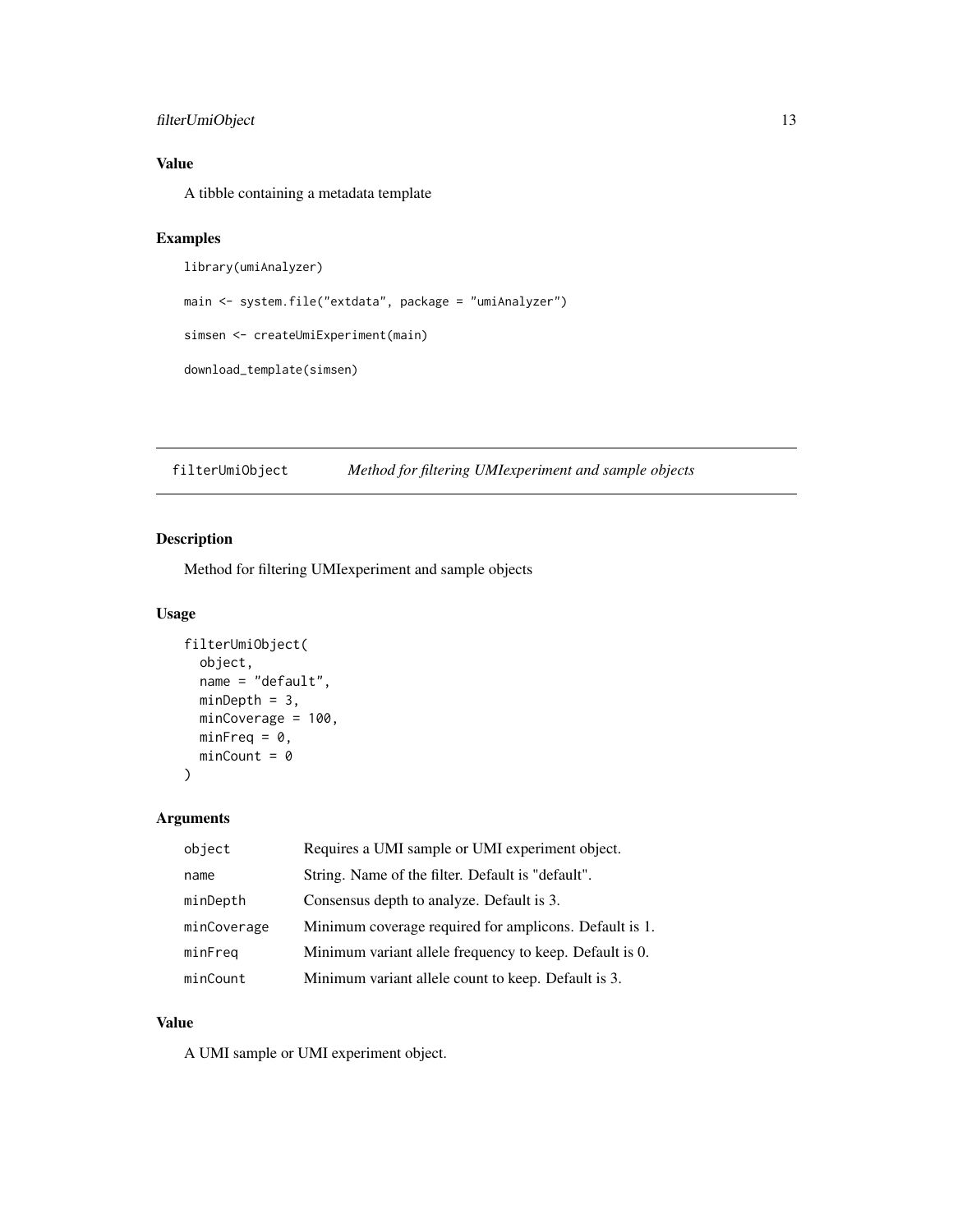# <span id="page-12-0"></span>filterUmiObject 13

# Value

A tibble containing a metadata template

#### Examples

```
library(umiAnalyzer)
main <- system.file("extdata", package = "umiAnalyzer")
simsen <- createUmiExperiment(main)
download_template(simsen)
```
filterUmiObject *Method for filtering UMIexperiment and sample objects*

# Description

Method for filtering UMIexperiment and sample objects

# Usage

```
filterUmiObject(
 object,
 name = "default",
 minDepth = 3,minCoverage = 100,
 minFreq = 0,minCount = 0)
```
Arguments

| object      | Requires a UMI sample or UMI experiment object.         |
|-------------|---------------------------------------------------------|
| name        | String. Name of the filter. Default is "default".       |
| minDepth    | Consensus depth to analyze. Default is 3.               |
| minCoverage | Minimum coverage required for amplicons. Default is 1.  |
| minFreq     | Minimum variant allele frequency to keep. Default is 0. |
| minCount    | Minimum variant allele count to keep. Default is 3.     |

#### Value

A UMI sample or UMI experiment object.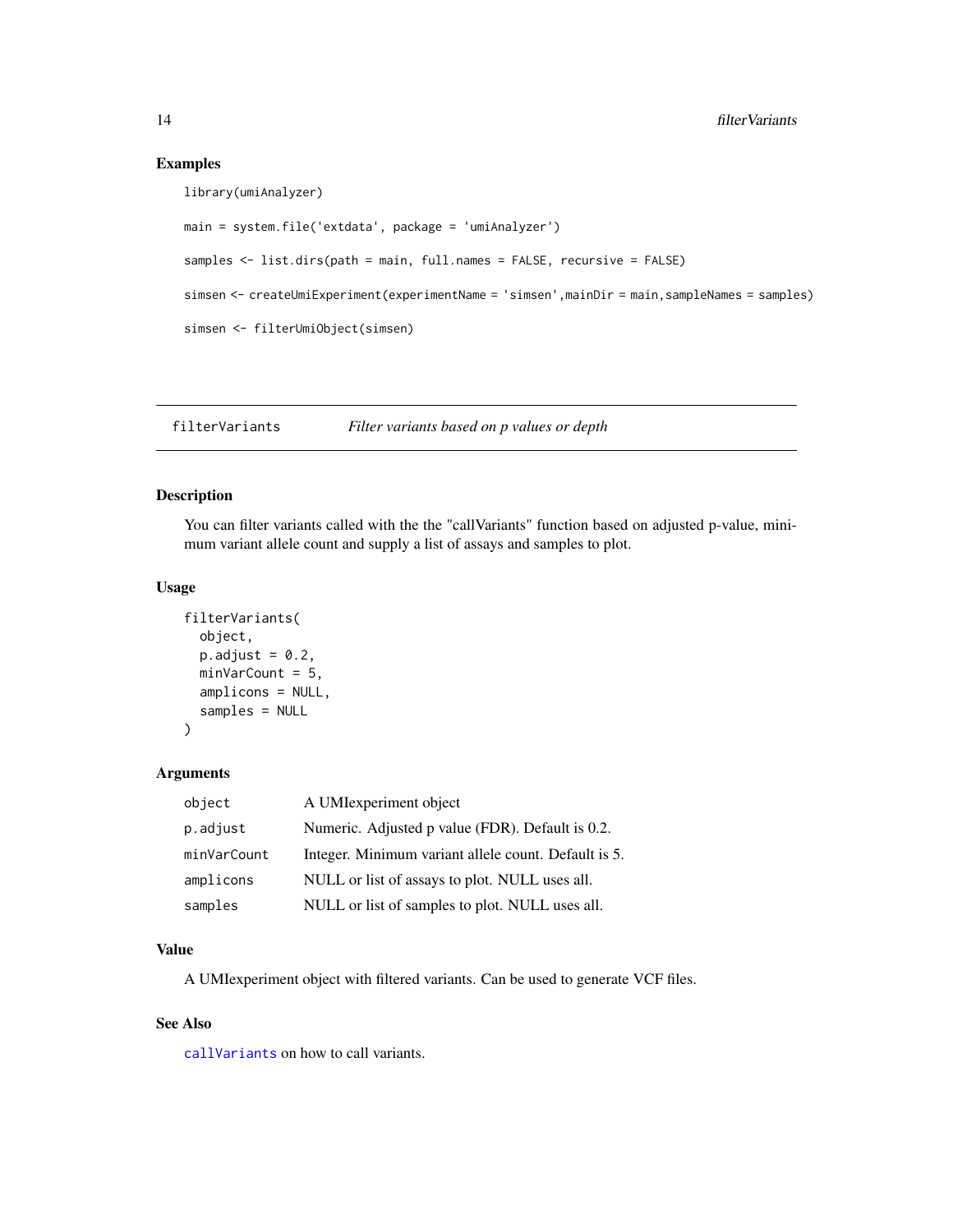#### Examples

```
library(umiAnalyzer)
```

```
main = system.file('extdata', package = 'umiAnalyzer')
samples <- list.dirs(path = main, full.names = FALSE, recursive = FALSE)
simsen <- createUmiExperiment(experimentName = 'simsen',mainDir = main,sampleNames = samples)
simsen <- filterUmiObject(simsen)
```
<span id="page-13-1"></span>filterVariants *Filter variants based on p values or depth*

# Description

You can filter variants called with the the "callVariants" function based on adjusted p-value, minimum variant allele count and supply a list of assays and samples to plot.

#### Usage

```
filterVariants(
  object,
  p.addjust = 0.2,minVarCount = 5,
  amplicons = NULL,
  samples = NULL
\mathcal{L}
```
#### Arguments

| object      | A UMIexperiment object                               |
|-------------|------------------------------------------------------|
| p.adjust    | Numeric. Adjusted p value (FDR). Default is 0.2.     |
| minVarCount | Integer. Minimum variant allele count. Default is 5. |
| amplicons   | NULL or list of assays to plot. NULL uses all.       |
| samples     | NULL or list of samples to plot. NULL uses all.      |

#### Value

A UMIexperiment object with filtered variants. Can be used to generate VCF files.

#### See Also

[callVariants](#page-8-1) on how to call variants.

<span id="page-13-0"></span>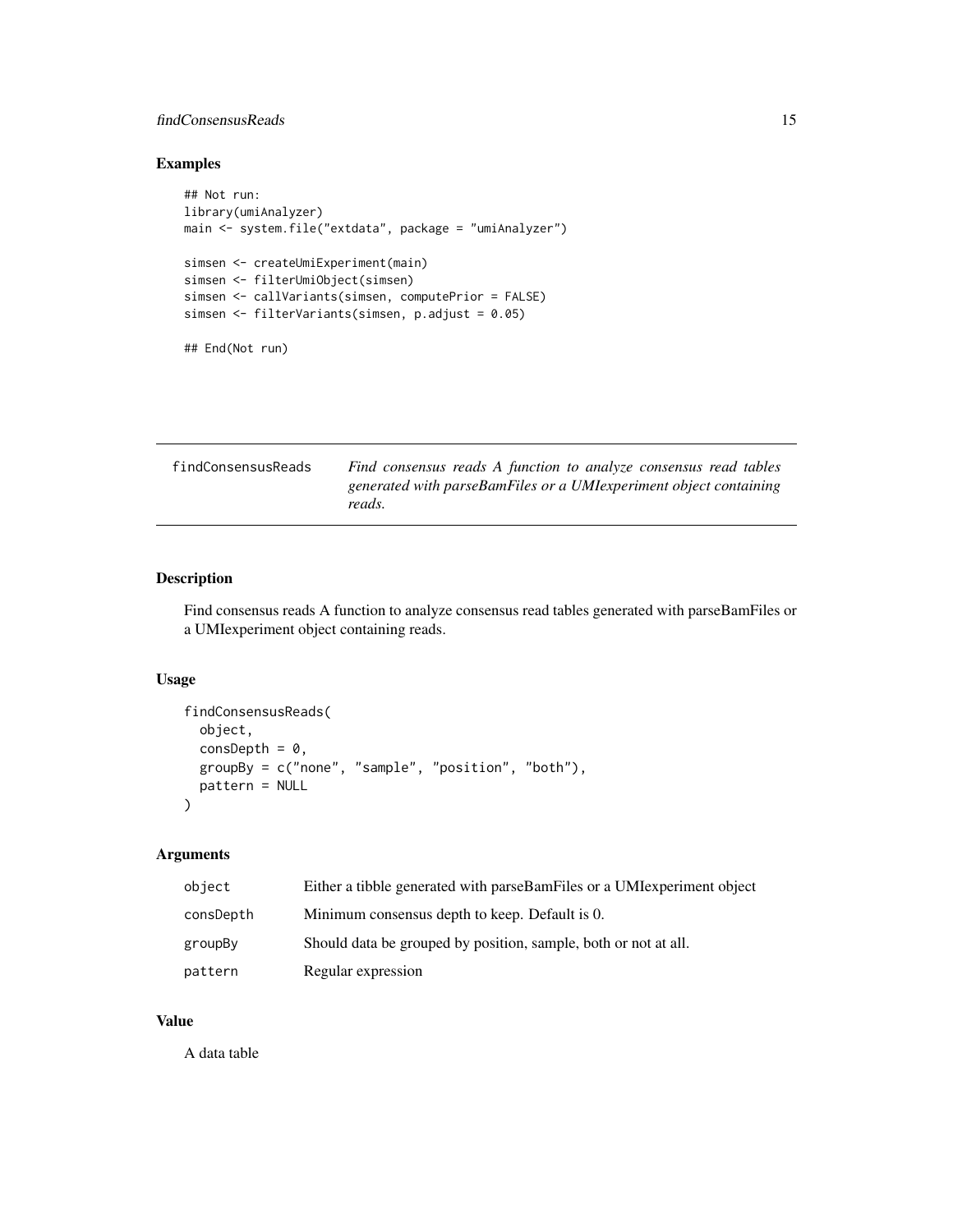# <span id="page-14-0"></span>findConsensusReads 15

# Examples

```
## Not run:
library(umiAnalyzer)
main <- system.file("extdata", package = "umiAnalyzer")
simsen <- createUmiExperiment(main)
simsen <- filterUmiObject(simsen)
simsen <- callVariants(simsen, computePrior = FALSE)
simsen <- filterVariants(simsen, p.adjust = 0.05)
## End(Not run)
```

| findConsensusReads | Find consensus reads A function to analyze consensus read tables             |
|--------------------|------------------------------------------------------------------------------|
|                    | generated with parseBamFiles or a UMI experiment object containing<br>reads. |

# Description

Find consensus reads A function to analyze consensus read tables generated with parseBamFiles or a UMIexperiment object containing reads.

#### Usage

```
findConsensusReads(
  object,
  consDepth = 0,
  groupBy = c("none", "sample", "position", "both"),
  pattern = NULL
\mathcal{E}
```
# Arguments

| object    | Either a tibble generated with parseBamFiles or a UMI experiment object |
|-----------|-------------------------------------------------------------------------|
| consDepth | Minimum consensus depth to keep. Default is 0.                          |
| groupBy   | Should data be grouped by position, sample, both or not at all.         |
| pattern   | Regular expression                                                      |

# Value

A data table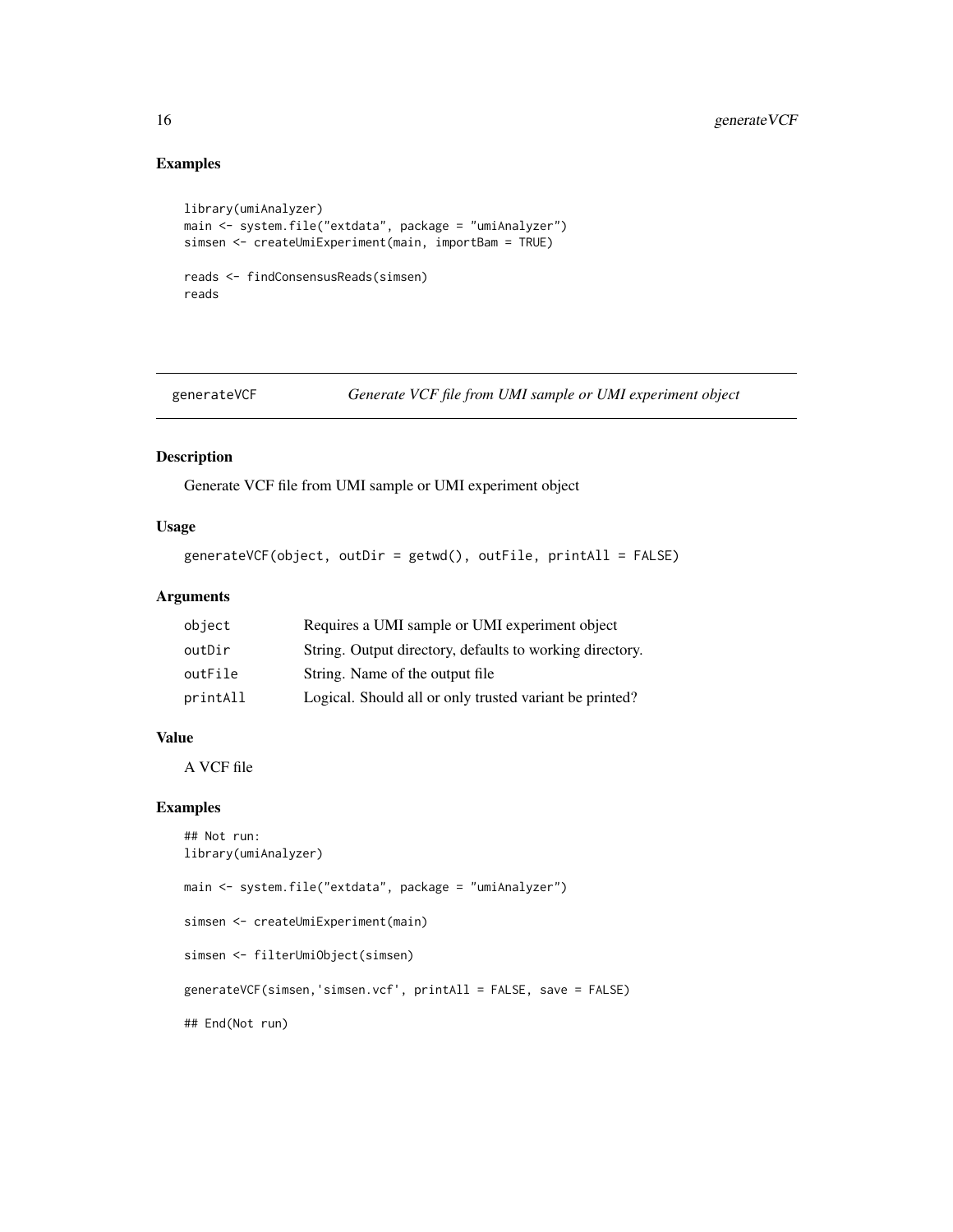# Examples

```
library(umiAnalyzer)
main <- system.file("extdata", package = "umiAnalyzer")
simsen <- createUmiExperiment(main, importBam = TRUE)
reads <- findConsensusReads(simsen)
reads
```
generateVCF *Generate VCF file from UMI sample or UMI experiment object*

#### Description

Generate VCF file from UMI sample or UMI experiment object

#### Usage

```
generateVCF(object, outDir = getwd(), outFile, printAll = FALSE)
```
#### Arguments

| object   | Requires a UMI sample or UMI experiment object           |
|----------|----------------------------------------------------------|
| outDir   | String. Output directory, defaults to working directory. |
| outFile  | String. Name of the output file                          |
| printAll | Logical. Should all or only trusted variant be printed?  |

#### Value

A VCF file

```
## Not run:
library(umiAnalyzer)
main <- system.file("extdata", package = "umiAnalyzer")
simsen <- createUmiExperiment(main)
simsen <- filterUmiObject(simsen)
generateVCF(simsen,'simsen.vcf', printAll = FALSE, save = FALSE)
## End(Not run)
```
<span id="page-15-0"></span>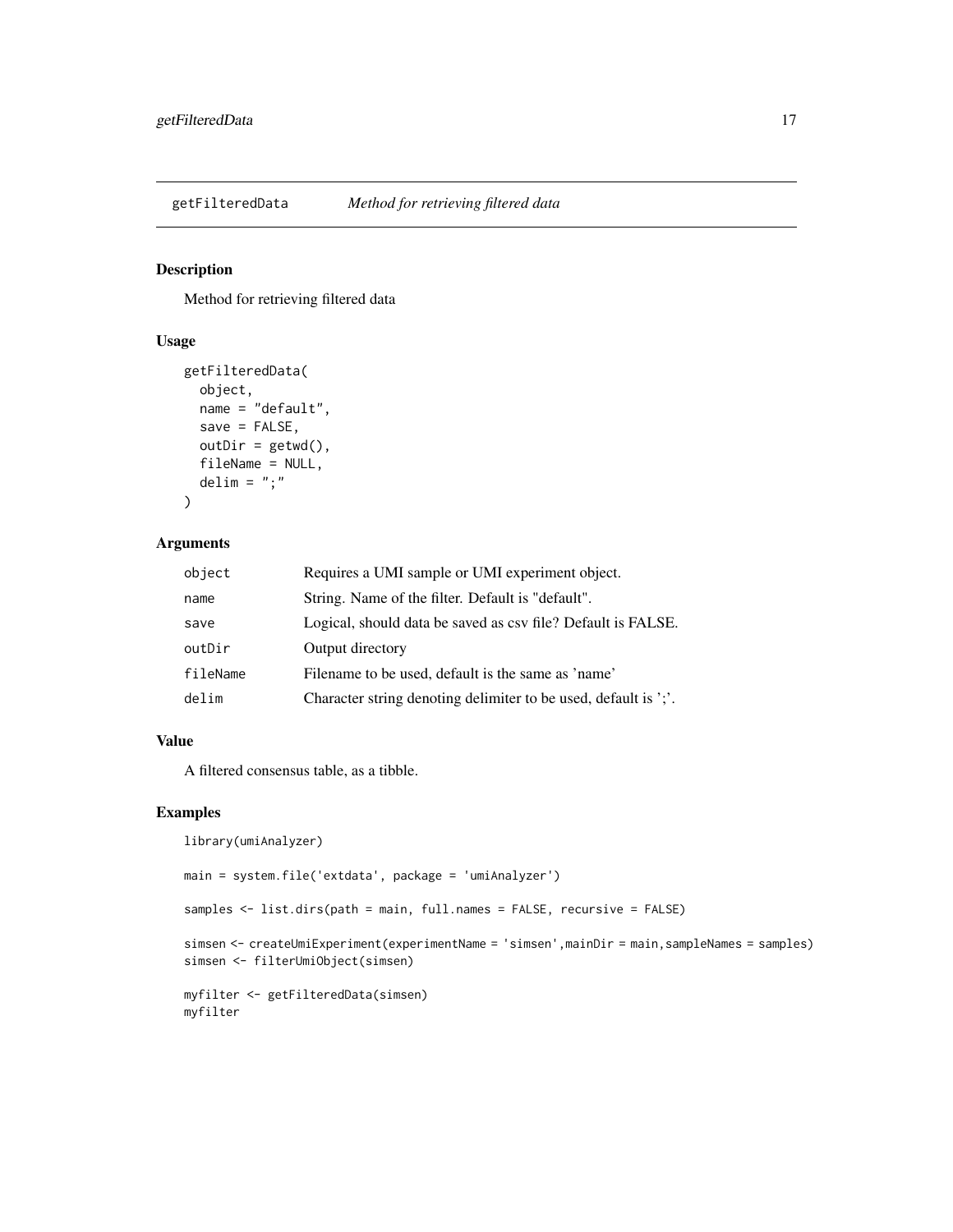<span id="page-16-0"></span>

#### Description

Method for retrieving filtered data

# Usage

```
getFilteredData(
 object,
 name = "default",
  save = FALSE,outDir = getwd(),fileName = NULL,
  delim = ";"
)
```
# Arguments

| object   | Requires a UMI sample or UMI experiment object.                 |
|----------|-----------------------------------------------------------------|
| name     | String. Name of the filter. Default is "default".               |
| save     | Logical, should data be saved as csv file? Default is FALSE.    |
| outDir   | Output directory                                                |
| fileName | Filename to be used, default is the same as 'name'              |
| delim    | Character string denoting delimiter to be used, default is ';'. |

#### Value

A filtered consensus table, as a tibble.

#### Examples

library(umiAnalyzer)

main = system.file('extdata', package = 'umiAnalyzer')

samples <- list.dirs(path = main, full.names = FALSE, recursive = FALSE)

```
simsen <- createUmiExperiment(experimentName = 'simsen',mainDir = main,sampleNames = samples)
simsen <- filterUmiObject(simsen)
```

```
myfilter <- getFilteredData(simsen)
myfilter
```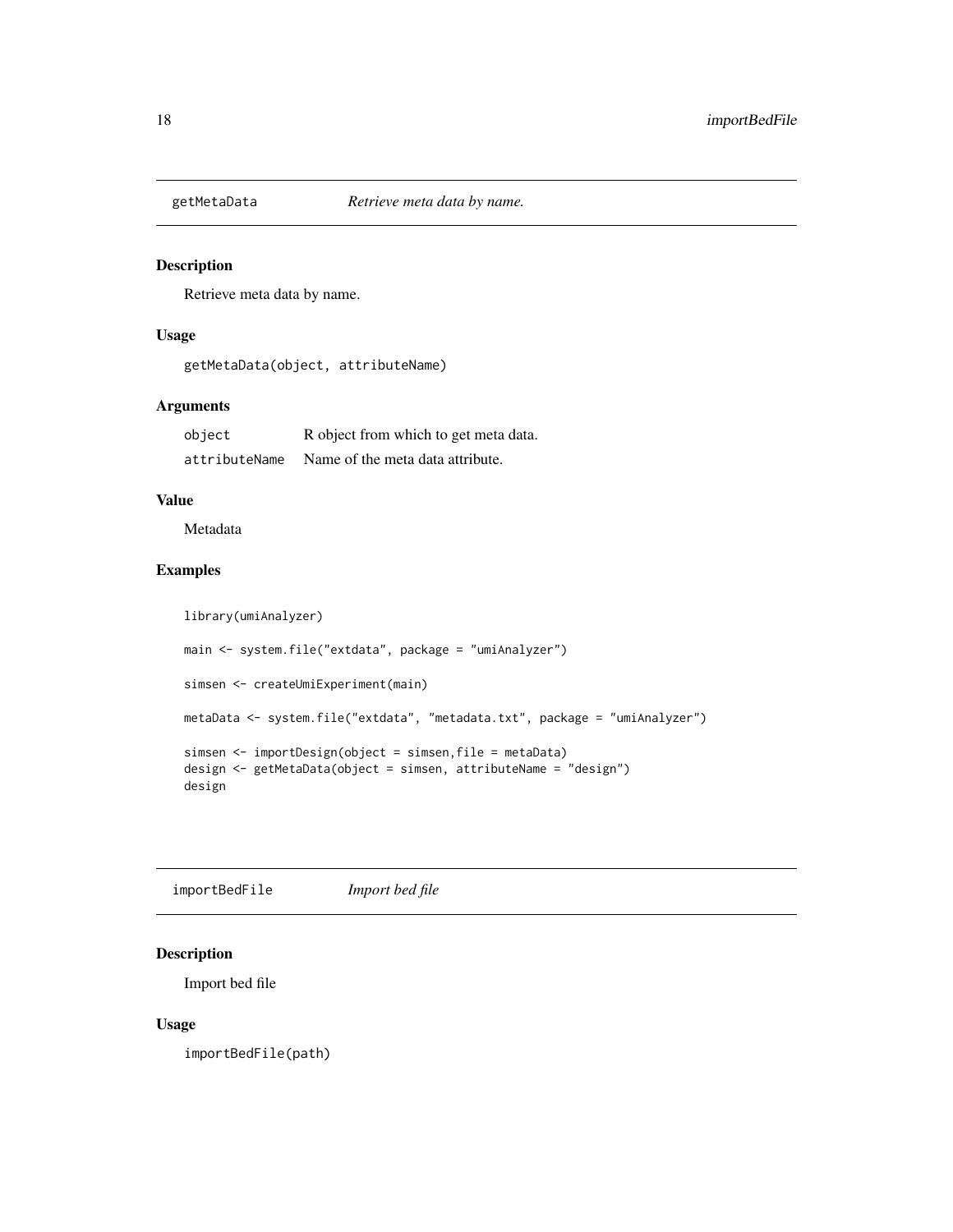<span id="page-17-0"></span>

# Description

Retrieve meta data by name.

#### Usage

```
getMetaData(object, attributeName)
```
# Arguments

| object        | R object from which to get meta data. |
|---------------|---------------------------------------|
| attributeName | Name of the meta data attribute.      |

# Value

Metadata

## Examples

```
library(umiAnalyzer)
main <- system.file("extdata", package = "umiAnalyzer")
simsen <- createUmiExperiment(main)
metaData <- system.file("extdata", "metadata.txt", package = "umiAnalyzer")
simsen <- importDesign(object = simsen,file = metaData)
design <- getMetaData(object = simsen, attributeName = "design")
design
```
importBedFile *Import bed file*

# Description

Import bed file

#### Usage

importBedFile(path)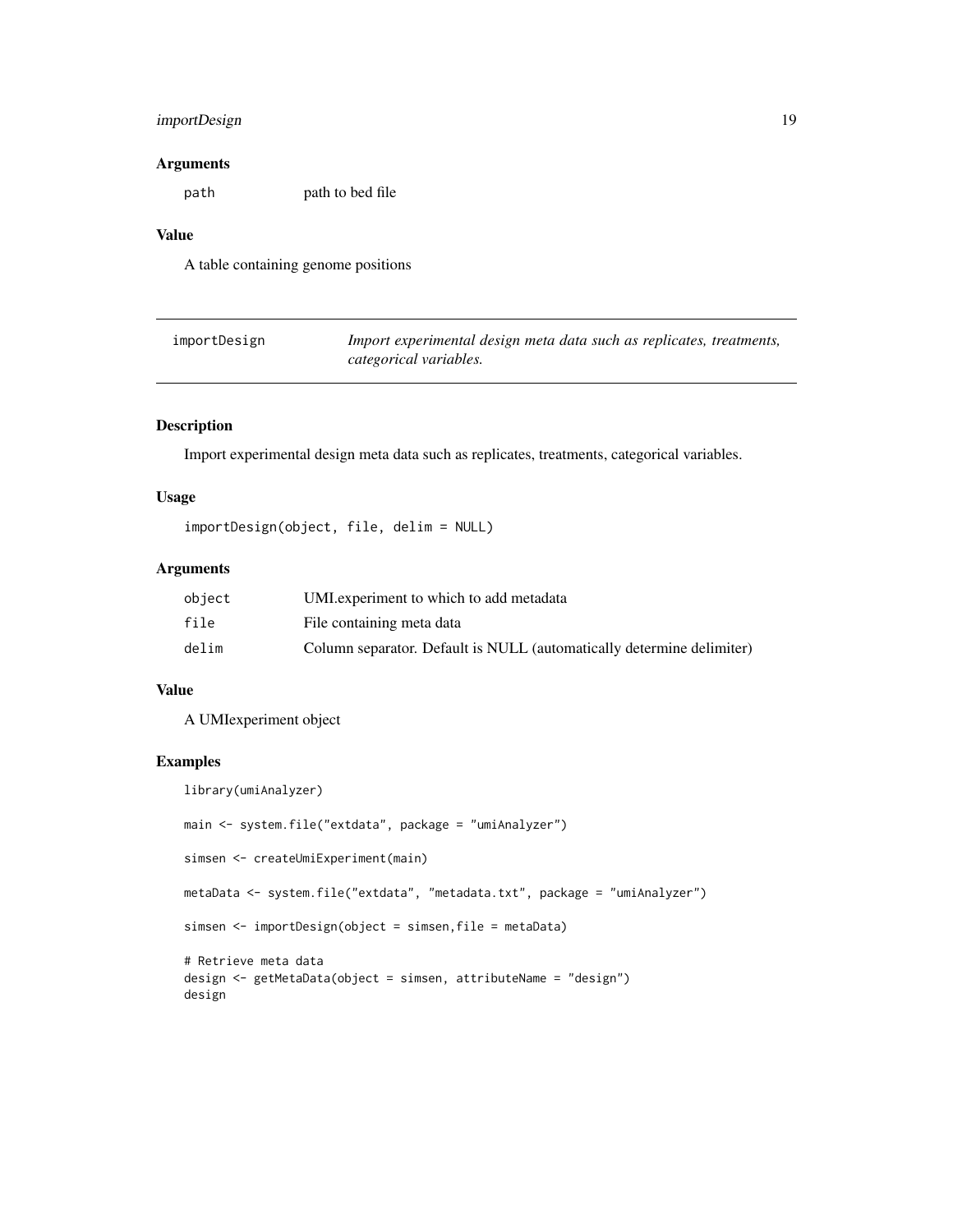# <span id="page-18-0"></span>importDesign 19

#### Arguments

path path to bed file

# Value

A table containing genome positions

| importDesign | Import experimental design meta data such as replicates, treatments, |
|--------------|----------------------------------------------------------------------|
|              | categorical variables.                                               |

#### Description

Import experimental design meta data such as replicates, treatments, categorical variables.

# Usage

importDesign(object, file, delim = NULL)

# Arguments

| object | UMI experiment to which to add metadata                               |
|--------|-----------------------------------------------------------------------|
| file   | File containing meta data                                             |
| delim  | Column separator. Default is NULL (automatically determine delimiter) |

#### Value

A UMIexperiment object

```
library(umiAnalyzer)
main <- system.file("extdata", package = "umiAnalyzer")
simsen <- createUmiExperiment(main)
metaData <- system.file("extdata", "metadata.txt", package = "umiAnalyzer")
simsen <- importDesign(object = simsen,file = metaData)
# Retrieve meta data
design <- getMetaData(object = simsen, attributeName = "design")
design
```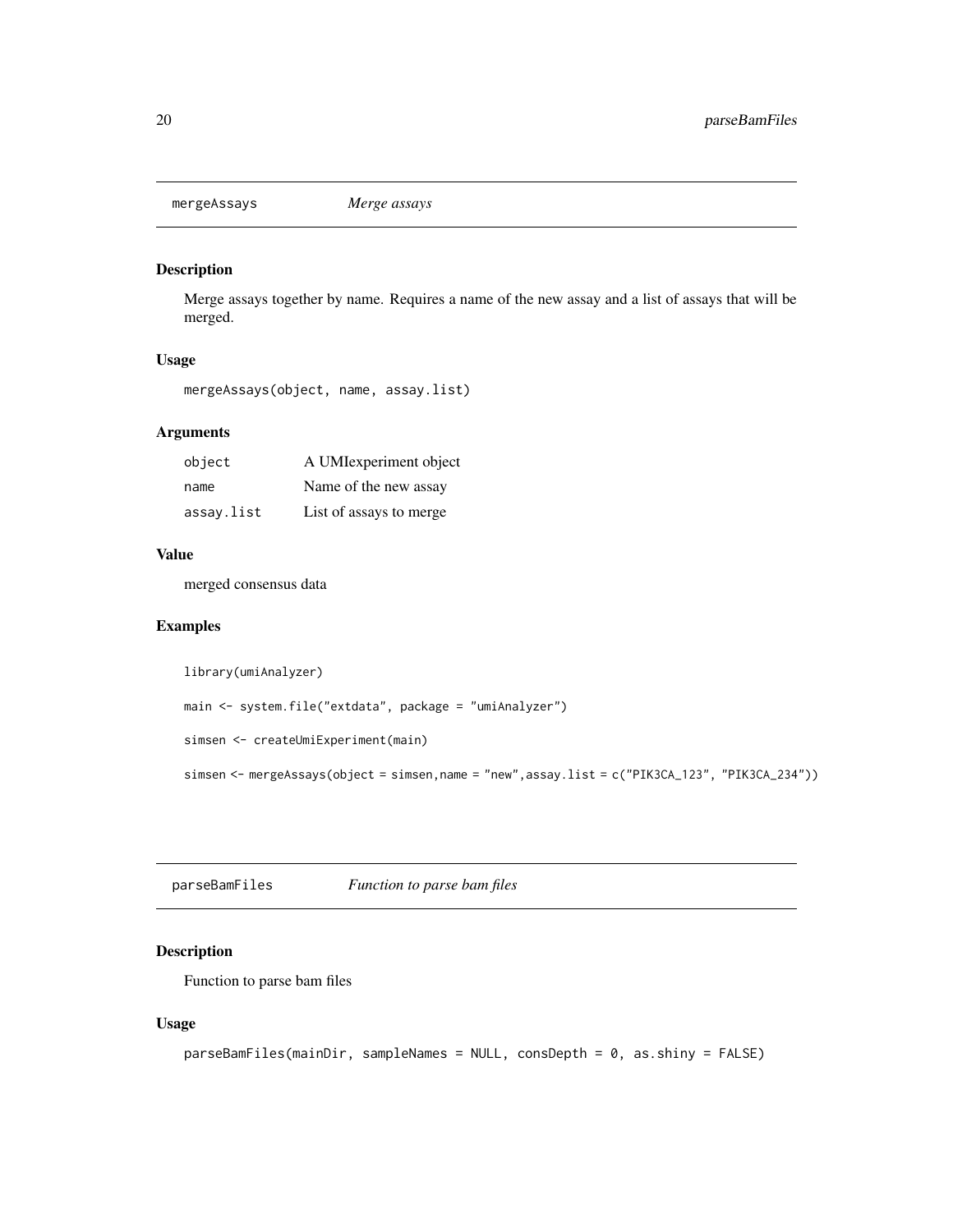<span id="page-19-0"></span>mergeAssays *Merge assays*

# Description

Merge assays together by name. Requires a name of the new assay and a list of assays that will be merged.

# Usage

mergeAssays(object, name, assay.list)

# Arguments

| object     | A UMIexperiment object  |
|------------|-------------------------|
| name       | Name of the new assay   |
| assay.list | List of assays to merge |

#### Value

merged consensus data

# Examples

library(umiAnalyzer)

```
main <- system.file("extdata", package = "umiAnalyzer")
```
simsen <- createUmiExperiment(main)

simsen <- mergeAssays(object = simsen,name = "new",assay.list = c("PIK3CA\_123", "PIK3CA\_234"))

parseBamFiles *Function to parse bam files*

# Description

Function to parse bam files

# Usage

```
parseBamFiles(mainDir, sampleNames = NULL, consDepth = 0, as.shiny = FALSE)
```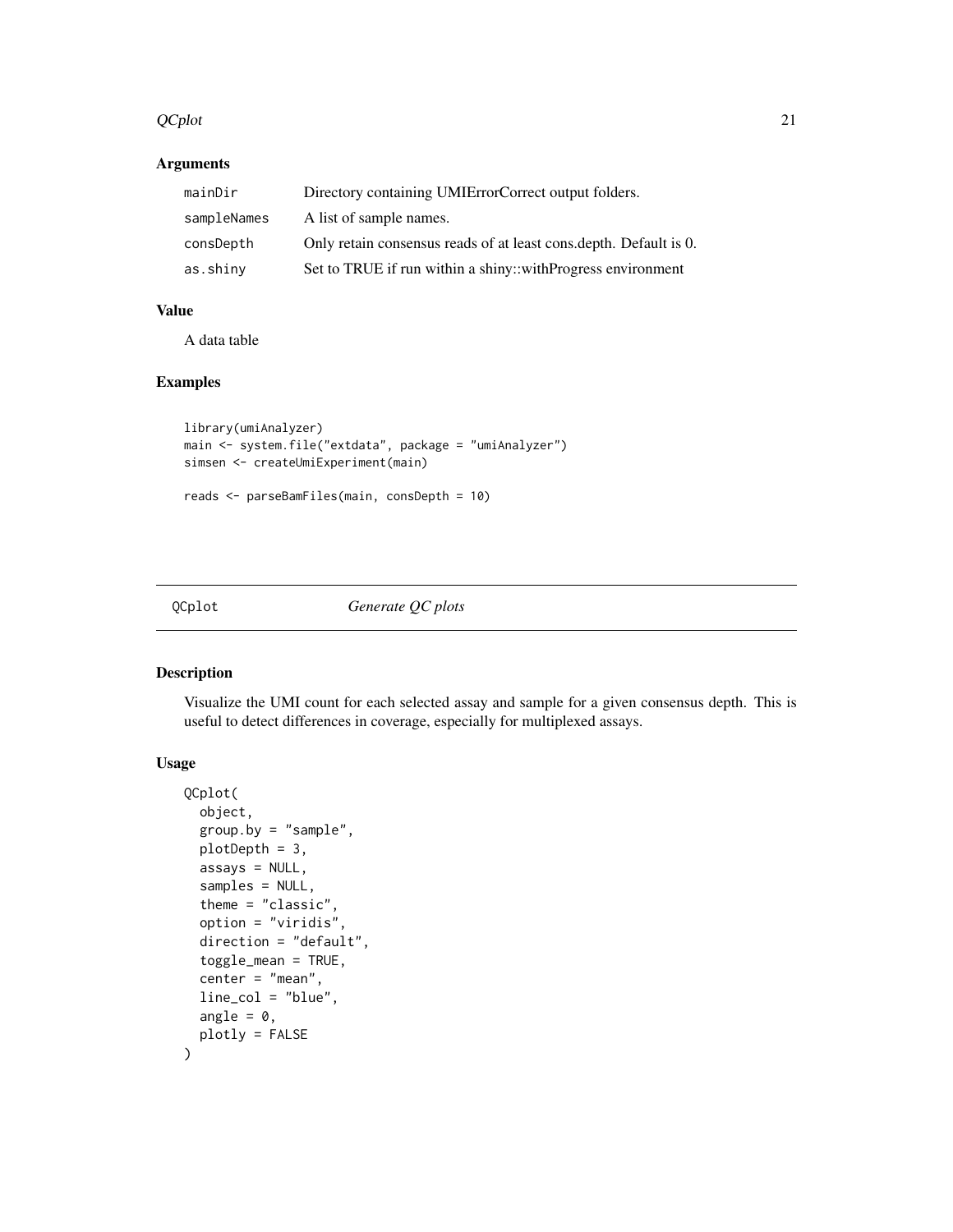#### <span id="page-20-0"></span> $QCplot$  21

# Arguments

| mainDir     | Directory containing UMIErrorCorrect output folders.               |
|-------------|--------------------------------------------------------------------|
| sampleNames | A list of sample names.                                            |
| consDepth   | Only retain consensus reads of at least cons. depth. Default is 0. |
| as.shiny    | Set to TRUE if run within a shiny::withProgress environment        |

# Value

A data table

#### Examples

```
library(umiAnalyzer)
main <- system.file("extdata", package = "umiAnalyzer")
simsen <- createUmiExperiment(main)
reads <- parseBamFiles(main, consDepth = 10)
```
# QCplot *Generate QC plots*

#### Description

Visualize the UMI count for each selected assay and sample for a given consensus depth. This is useful to detect differences in coverage, especially for multiplexed assays.

## Usage

```
QCplot(
  object,
  group.by = "sample",
 plotDepth = 3,
 assays = NULL,
  samples = NULL,
  theme = "classic",
  option = "viridis",
 direction = "default",
  toggle_mean = TRUE,
  center = "mean",
  line_col = "blue",
  angle = 0,
 plotly = FALSE
\mathcal{E}
```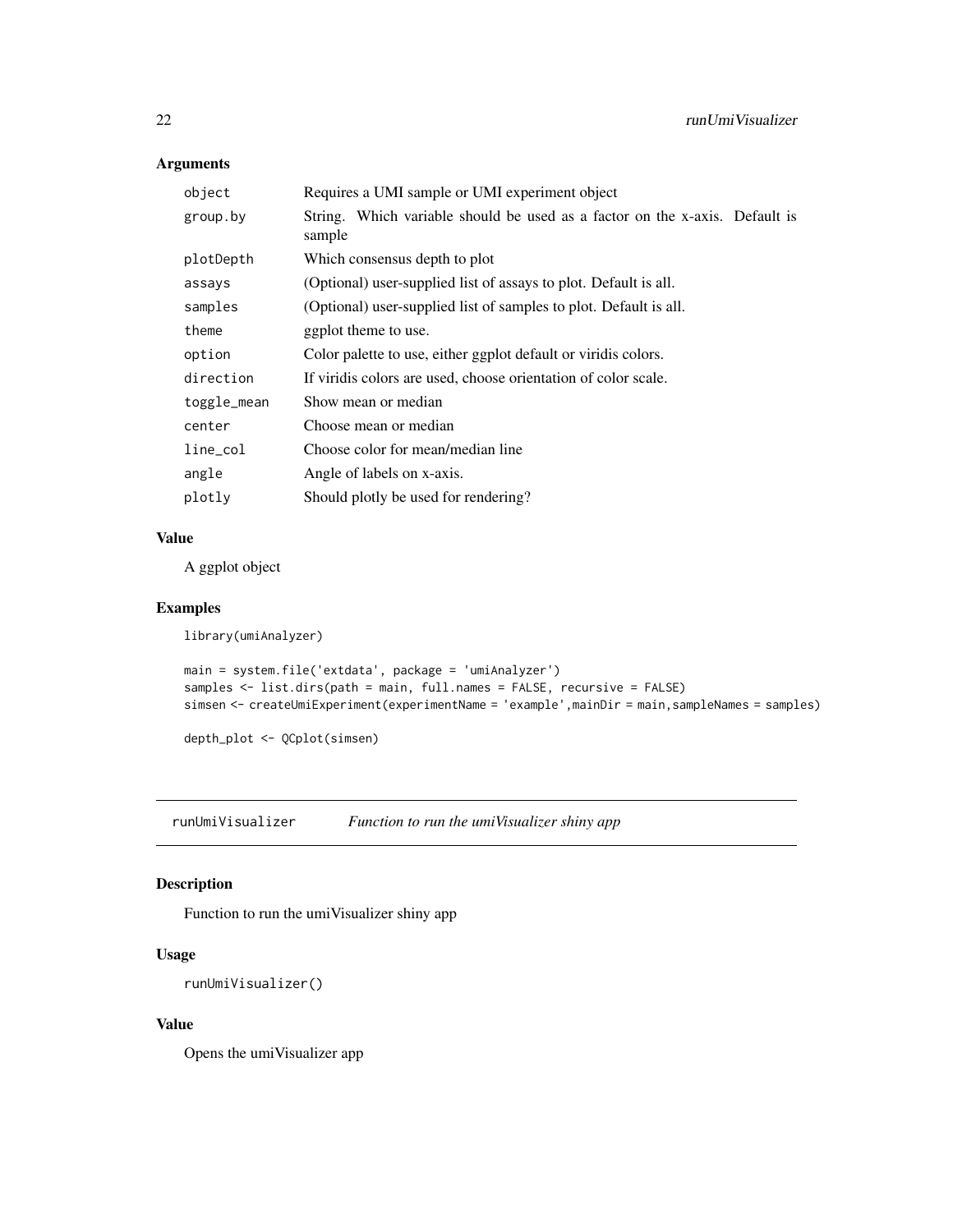# Arguments

| Requires a UMI sample or UMI experiment object                                        |
|---------------------------------------------------------------------------------------|
| String. Which variable should be used as a factor on the x-axis. Default is<br>sample |
| Which consensus depth to plot                                                         |
| (Optional) user-supplied list of assays to plot. Default is all.                      |
| (Optional) user-supplied list of samples to plot. Default is all.                     |
| ggplot theme to use.                                                                  |
| Color palette to use, either ggplot default or viridis colors.                        |
| If viridis colors are used, choose orientation of color scale.                        |
| Show mean or median                                                                   |
| Choose mean or median                                                                 |
| Choose color for mean/median line                                                     |
| Angle of labels on x-axis.                                                            |
| Should plotly be used for rendering?                                                  |
|                                                                                       |

# Value

A ggplot object

## Examples

```
library(umiAnalyzer)
```

```
main = system.file('extdata', package = 'umiAnalyzer')
samples <- list.dirs(path = main, full.names = FALSE, recursive = FALSE)
simsen <- createUmiExperiment(experimentName = 'example',mainDir = main,sampleNames = samples)
```
depth\_plot <- QCplot(simsen)

runUmiVisualizer *Function to run the umiVisualizer shiny app*

# Description

Function to run the umiVisualizer shiny app

# Usage

```
runUmiVisualizer()
```
# Value

Opens the umiVisualizer app

<span id="page-21-0"></span>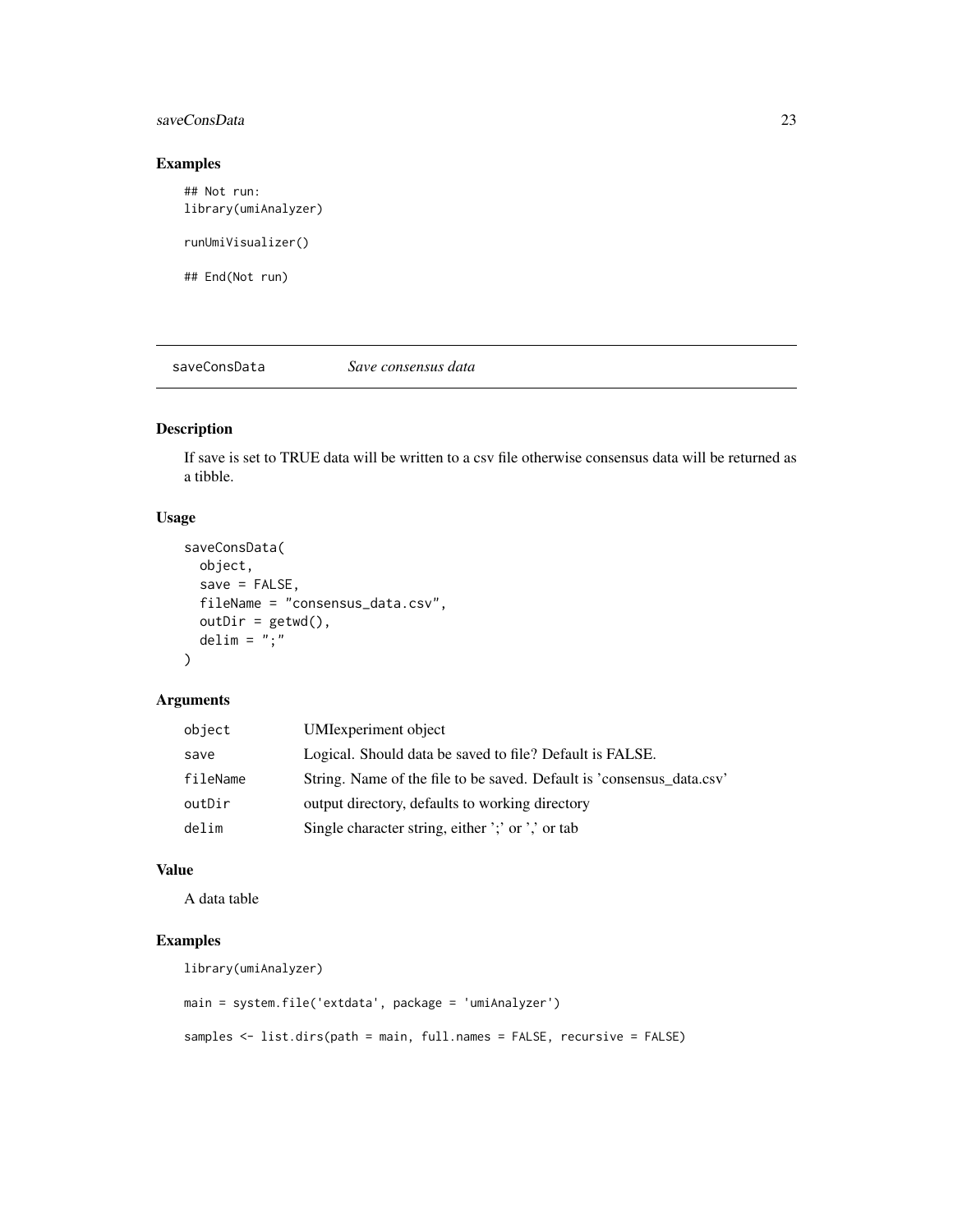## <span id="page-22-0"></span>saveConsData 23

# Examples

## Not run: library(umiAnalyzer) runUmiVisualizer()

## End(Not run)

saveConsData *Save consensus data*

# Description

If save is set to TRUE data will be written to a csv file otherwise consensus data will be returned as a tibble.

#### Usage

```
saveConsData(
  object,
  save = FALSE,
  fileName = "consensus_data.csv",
  outDir = getwd(),
  delim = \overline{''};
)
```
# Arguments

| object   | <b>UMI</b> experiment object                                          |
|----------|-----------------------------------------------------------------------|
| save     | Logical. Should data be saved to file? Default is FALSE.              |
| fileName | String. Name of the file to be saved. Default is 'consensus data.csv' |
| outDir   | output directory, defaults to working directory                       |
| delim    | Single character string, either ';' or ',' or tab                     |

# Value

A data table

```
library(umiAnalyzer)
```

```
main = system.file('extdata', package = 'umiAnalyzer')
samples <- list.dirs(path = main, full.names = FALSE, recursive = FALSE)
```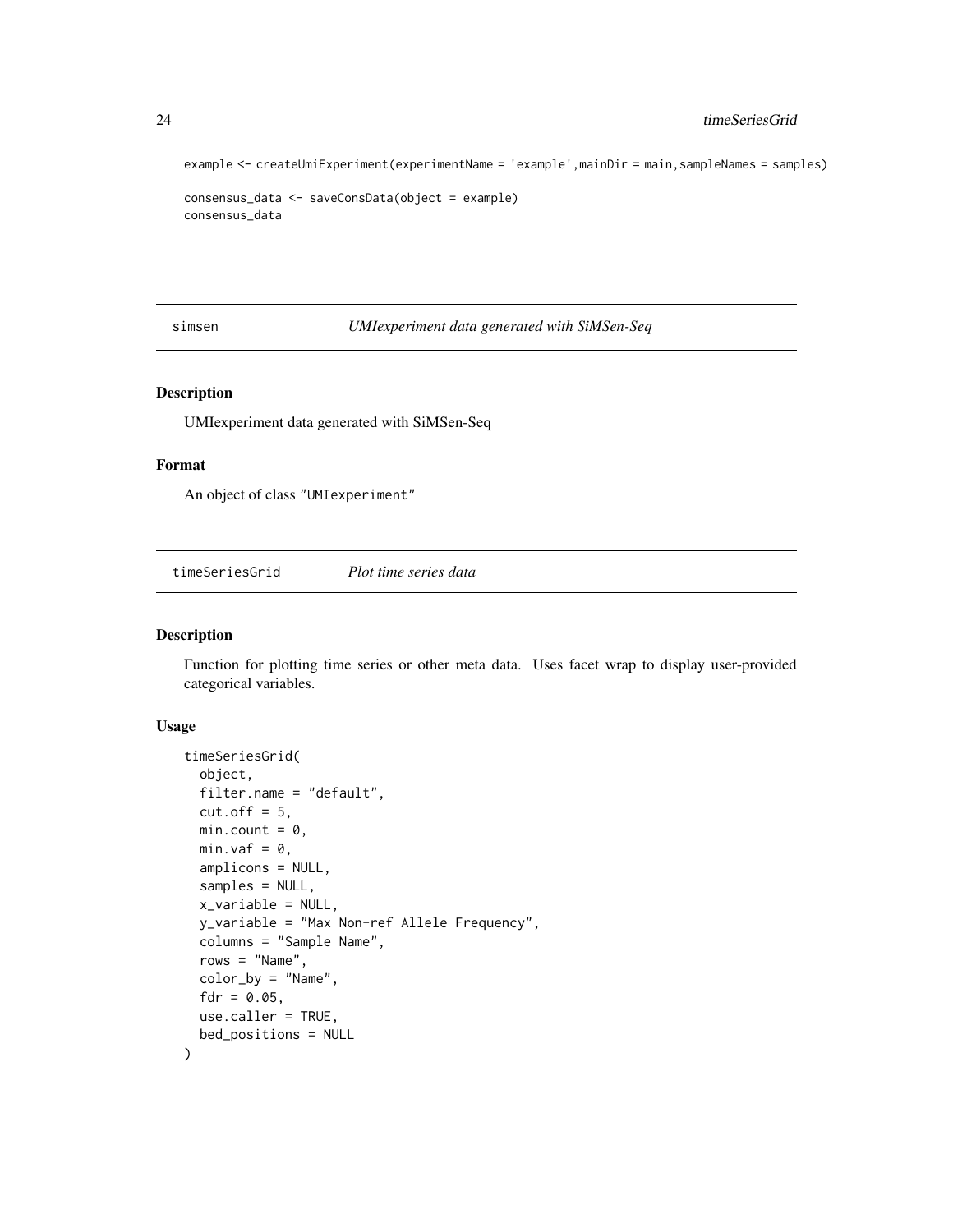example <- createUmiExperiment(experimentName = 'example',mainDir = main,sampleNames = samples)

```
consensus_data <- saveConsData(object = example)
consensus_data
```
simsen *UMIexperiment data generated with SiMSen-Seq*

#### Description

UMIexperiment data generated with SiMSen-Seq

#### Format

An object of class "UMIexperiment"

timeSeriesGrid *Plot time series data*

# Description

Function for plotting time series or other meta data. Uses facet wrap to display user-provided categorical variables.

#### Usage

```
timeSeriesGrid(
 object,
  filter.name = "default",
  cut.off = 5,min.count = 0,min.vaf = 0,
  amplicons = NULL,
  samples = NULL,
 x_variable = NULL,
 y_variable = "Max Non-ref Allele Frequency",
 columns = "Sample Name",
  rows = "Name".color_by = "Name",
  fdr = 0.05,
 use.caller = TRUE,
 bed_positions = NULL
)
```
<span id="page-23-0"></span>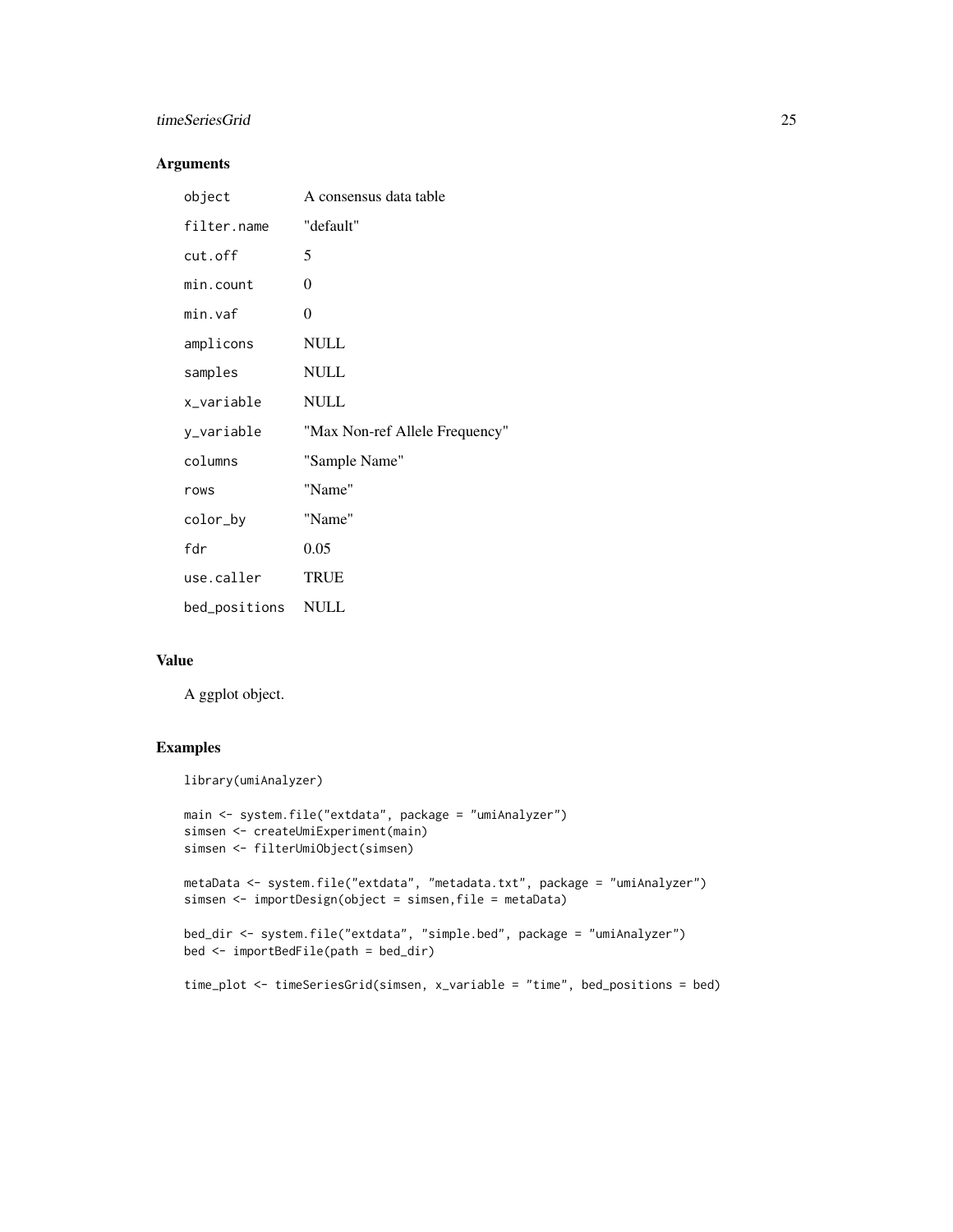# timeSeriesGrid 25

# Arguments

| object        | A consensus data table         |
|---------------|--------------------------------|
| filter.name   | "default"                      |
| cut.off       | 5                              |
| min.count     | $\Omega$                       |
| min.vaf       | $\theta$                       |
| amplicons     | <b>NULL</b>                    |
| samples       | <b>NULL</b>                    |
| x_variable    | <b>NULL</b>                    |
| y_variable    | "Max Non-ref Allele Frequency" |
| columns       | "Sample Name"                  |
| rows          | "Name"                         |
| color_by      | "Name"                         |
| fdr           | 0.05                           |
| use.caller    | <b>TRUE</b>                    |
| bed_positions | <b>NULL</b>                    |

#### Value

A ggplot object.

# Examples

library(umiAnalyzer)

```
main <- system.file("extdata", package = "umiAnalyzer")
simsen <- createUmiExperiment(main)
simsen <- filterUmiObject(simsen)
metaData <- system.file("extdata", "metadata.txt", package = "umiAnalyzer")
simsen <- importDesign(object = simsen,file = metaData)
bed_dir <- system.file("extdata", "simple.bed", package = "umiAnalyzer")
bed <- importBedFile(path = bed_dir)
time_plot <- timeSeriesGrid(simsen, x_variable = "time", bed_positions = bed)
```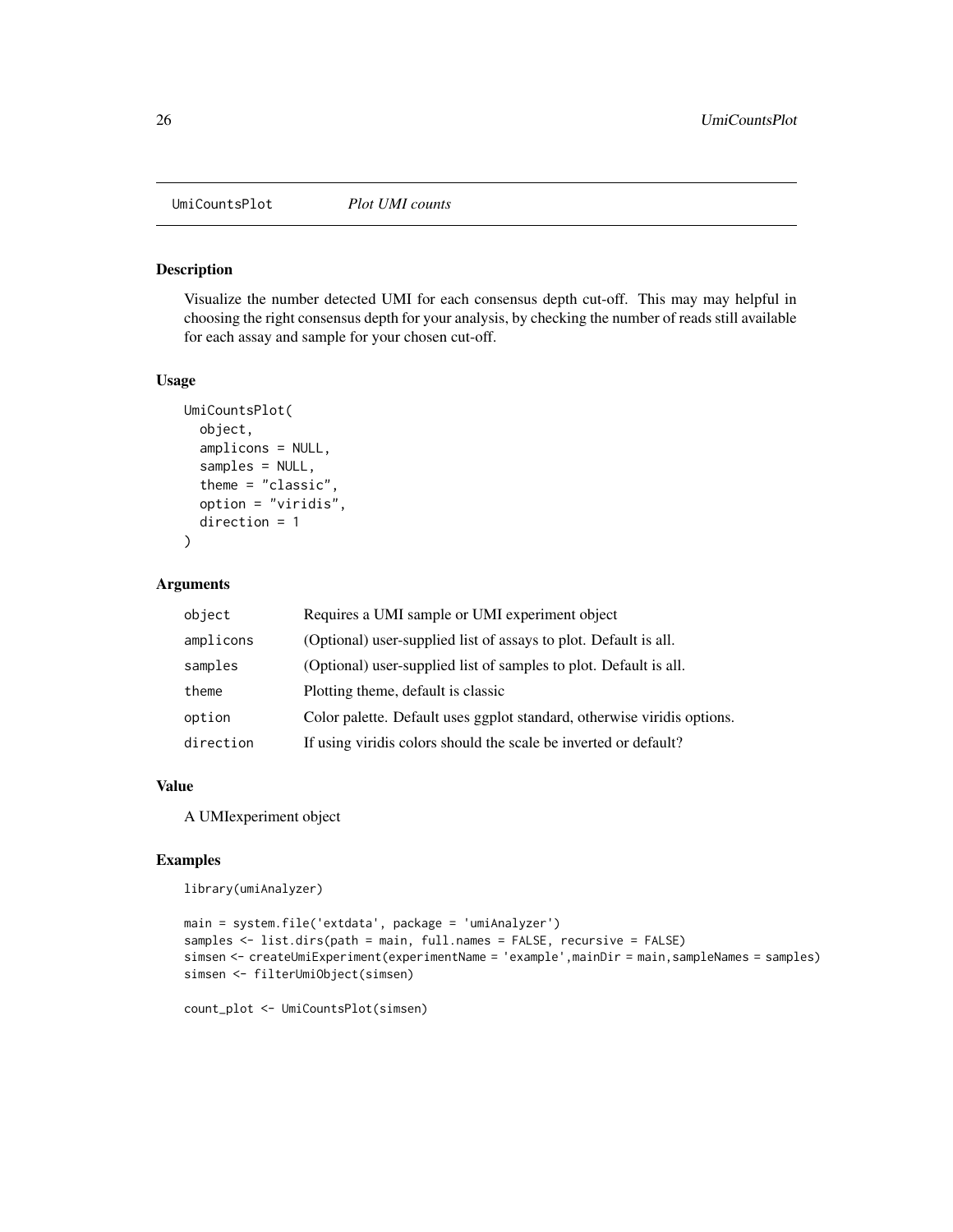<span id="page-25-0"></span>UmiCountsPlot *Plot UMI counts*

#### Description

Visualize the number detected UMI for each consensus depth cut-off. This may may helpful in choosing the right consensus depth for your analysis, by checking the number of reads still available for each assay and sample for your chosen cut-off.

#### Usage

```
UmiCountsPlot(
  object,
  amplicons = NULL,
  samples = NULL,
  theme = "classic",
  option = "viridis",
  direction = 1
)
```
# Arguments

| object    | Requires a UMI sample or UMI experiment object                          |
|-----------|-------------------------------------------------------------------------|
| amplicons | (Optional) user-supplied list of assays to plot. Default is all.        |
| samples   | (Optional) user-supplied list of samples to plot. Default is all.       |
| theme     | Plotting theme, default is classic.                                     |
| option    | Color palette. Default uses ggplot standard, otherwise viridis options. |
| direction | If using viridis colors should the scale be inverted or default?        |

#### Value

A UMIexperiment object

#### Examples

library(umiAnalyzer)

```
main = system.file('extdata', package = 'umiAnalyzer')
samples <- list.dirs(path = main, full.names = FALSE, recursive = FALSE)
simsen <- createUmiExperiment(experimentName = 'example',mainDir = main,sampleNames = samples)
simsen <- filterUmiObject(simsen)
```
count\_plot <- UmiCountsPlot(simsen)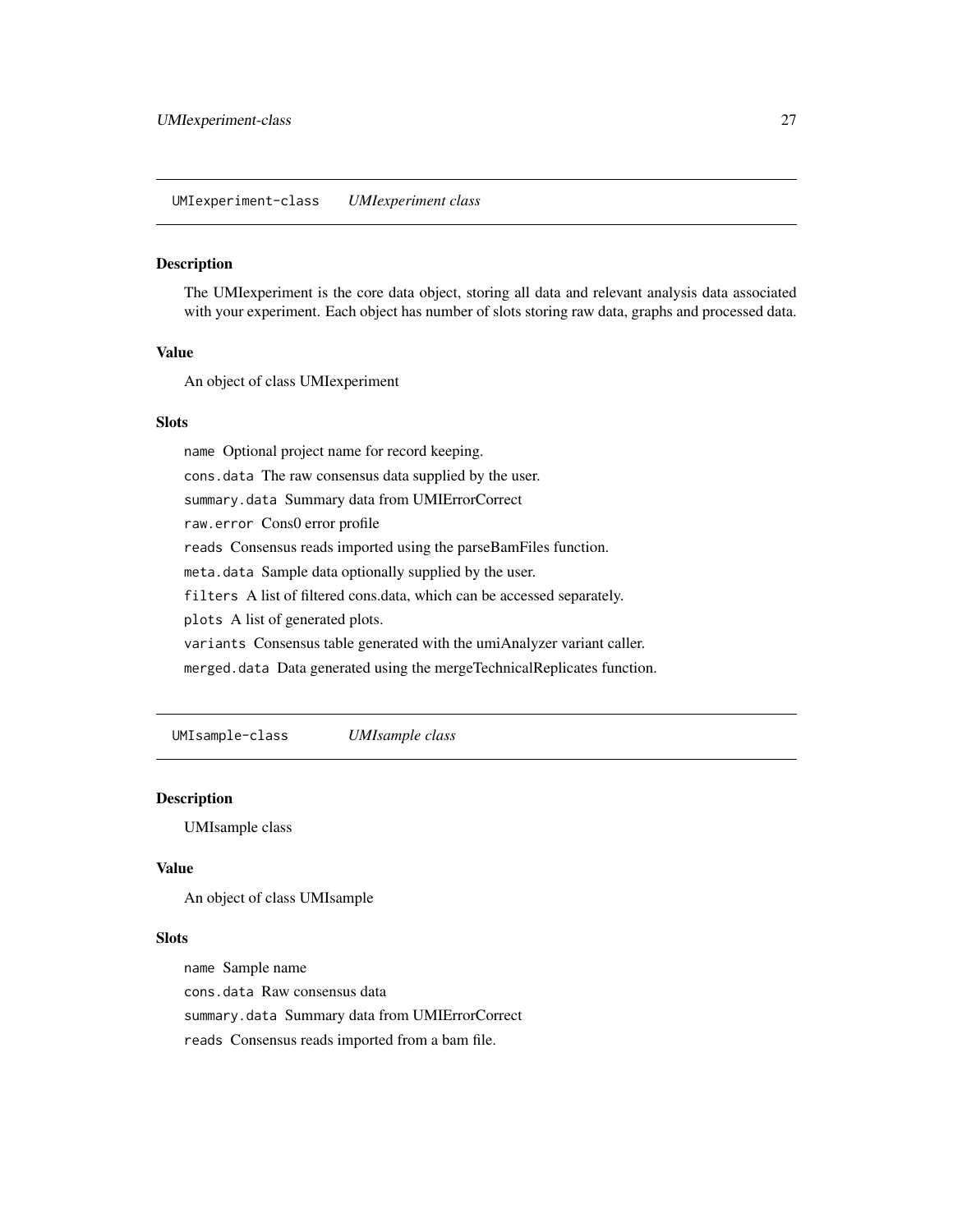<span id="page-26-0"></span>UMIexperiment-class *UMIexperiment class*

#### Description

The UMIexperiment is the core data object, storing all data and relevant analysis data associated with your experiment. Each object has number of slots storing raw data, graphs and processed data.

#### Value

An object of class UMIexperiment

#### Slots

name Optional project name for record keeping.

cons.data The raw consensus data supplied by the user.

summary.data Summary data from UMIErrorCorrect

raw.error Cons0 error profile

reads Consensus reads imported using the parseBamFiles function.

meta.data Sample data optionally supplied by the user.

filters A list of filtered cons.data, which can be accessed separately.

plots A list of generated plots.

variants Consensus table generated with the umiAnalyzer variant caller.

merged.data Data generated using the mergeTechnicalReplicates function.

UMIsample-class *UMIsample class*

#### Description

UMIsample class

# Value

An object of class UMIsample

#### Slots

name Sample name cons.data Raw consensus data summary.data Summary data from UMIErrorCorrect reads Consensus reads imported from a bam file.